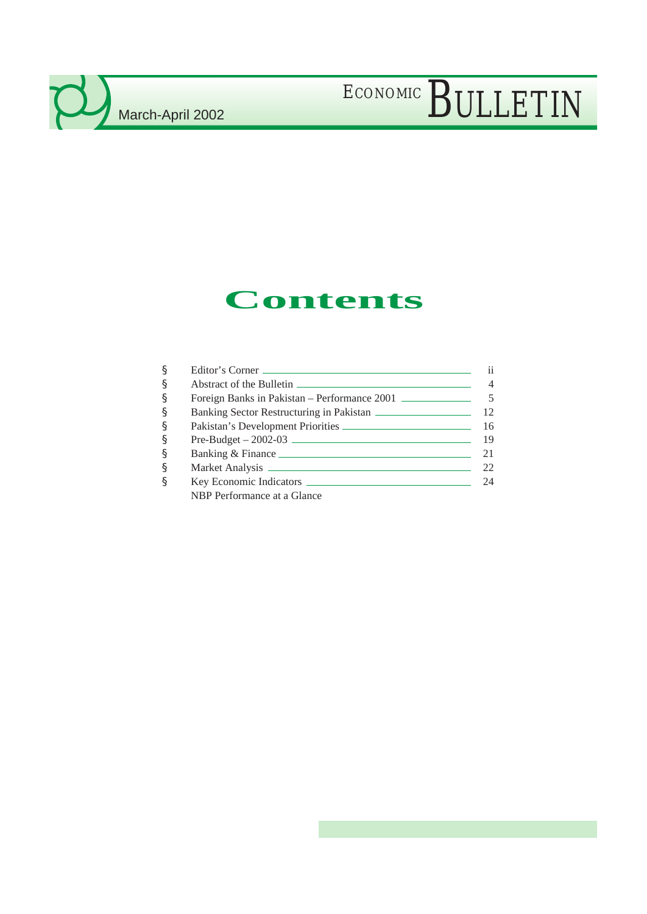## **Contents**

| § | Editor's Corner                               | 11   |
|---|-----------------------------------------------|------|
| § |                                               |      |
| § | Foreign Banks in Pakistan – Performance 2001  |      |
| § | Banking Sector Restructuring in Pakistan      | 12   |
| § | Pakistan's Development Priorities             | 16   |
| § | $Pre-Budget - 2002-03$ $\qquad \qquad \qquad$ | - 19 |
| § |                                               | 21   |
| § |                                               | 22   |
| ş |                                               | 24   |
|   | NBP Performance at a Glance                   |      |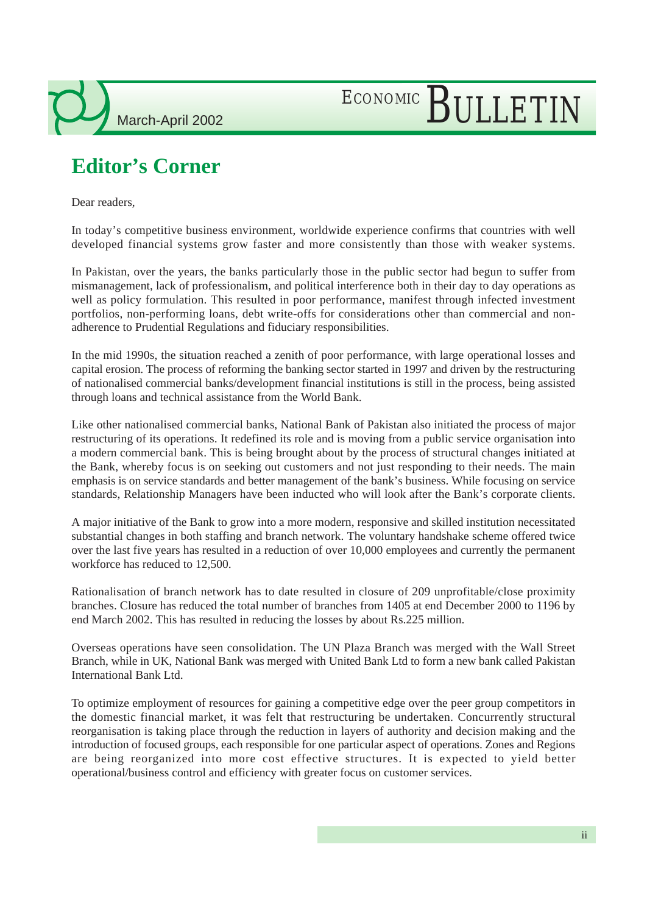# ECONOMIC BULLETIN

## **Editor's Corner**

Dear readers,

In today's competitive business environment, worldwide experience confirms that countries with well developed financial systems grow faster and more consistently than those with weaker systems.

In Pakistan, over the years, the banks particularly those in the public sector had begun to suffer from mismanagement, lack of professionalism, and political interference both in their day to day operations as well as policy formulation. This resulted in poor performance, manifest through infected investment portfolios, non-performing loans, debt write-offs for considerations other than commercial and nonadherence to Prudential Regulations and fiduciary responsibilities.

In the mid 1990s, the situation reached a zenith of poor performance, with large operational losses and capital erosion. The process of reforming the banking sector started in 1997 and driven by the restructuring of nationalised commercial banks/development financial institutions is still in the process, being assisted through loans and technical assistance from the World Bank.

Like other nationalised commercial banks, National Bank of Pakistan also initiated the process of major restructuring of its operations. It redefined its role and is moving from a public service organisation into a modern commercial bank. This is being brought about by the process of structural changes initiated at the Bank, whereby focus is on seeking out customers and not just responding to their needs. The main emphasis is on service standards and better management of the bank's business. While focusing on service standards, Relationship Managers have been inducted who will look after the Bank's corporate clients.

A major initiative of the Bank to grow into a more modern, responsive and skilled institution necessitated substantial changes in both staffing and branch network. The voluntary handshake scheme offered twice over the last five years has resulted in a reduction of over 10,000 employees and currently the permanent workforce has reduced to 12,500.

Rationalisation of branch network has to date resulted in closure of 209 unprofitable/close proximity branches. Closure has reduced the total number of branches from 1405 at end December 2000 to 1196 by end March 2002. This has resulted in reducing the losses by about Rs.225 million.

Overseas operations have seen consolidation. The UN Plaza Branch was merged with the Wall Street Branch, while in UK, National Bank was merged with United Bank Ltd to form a new bank called Pakistan International Bank Ltd.

To optimize employment of resources for gaining a competitive edge over the peer group competitors in the domestic financial market, it was felt that restructuring be undertaken. Concurrently structural reorganisation is taking place through the reduction in layers of authority and decision making and the introduction of focused groups, each responsible for one particular aspect of operations. Zones and Regions are being reorganized into more cost effective structures. It is expected to yield better operational/business control and efficiency with greater focus on customer services.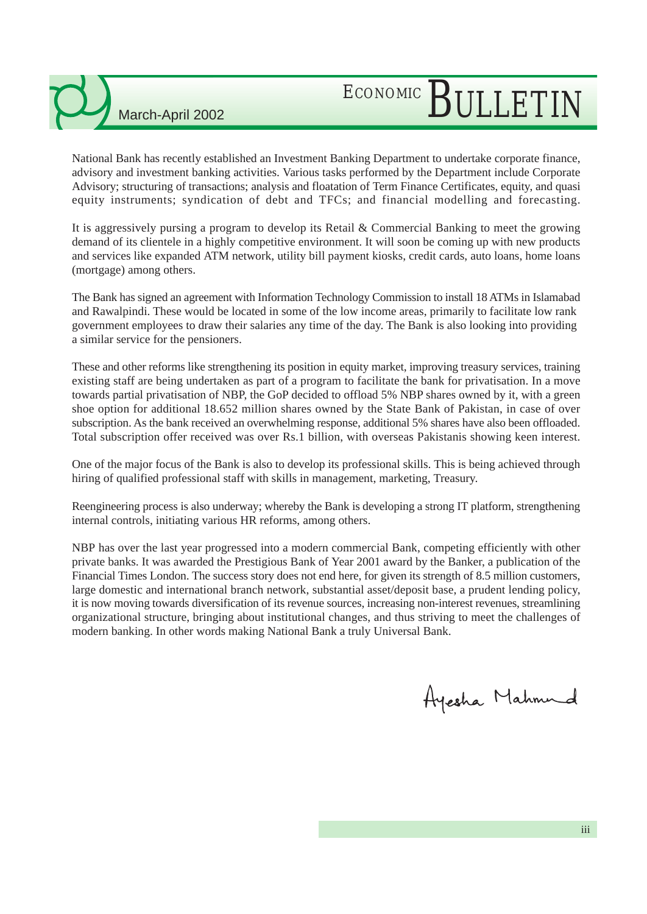## ECONOMIC BULLETIN

National Bank has recently established an Investment Banking Department to undertake corporate finance, advisory and investment banking activities. Various tasks performed by the Department include Corporate Advisory; structuring of transactions; analysis and floatation of Term Finance Certificates, equity, and quasi equity instruments; syndication of debt and TFCs; and financial modelling and forecasting.

It is aggressively pursing a program to develop its Retail & Commercial Banking to meet the growing demand of its clientele in a highly competitive environment. It will soon be coming up with new products and services like expanded ATM network, utility bill payment kiosks, credit cards, auto loans, home loans (mortgage) among others.

The Bank has signed an agreement with Information Technology Commission to install 18 ATMs in Islamabad and Rawalpindi. These would be located in some of the low income areas, primarily to facilitate low rank government employees to draw their salaries any time of the day. The Bank is also looking into providing a similar service for the pensioners.

These and other reforms like strengthening its position in equity market, improving treasury services, training existing staff are being undertaken as part of a program to facilitate the bank for privatisation. In a move towards partial privatisation of NBP, the GoP decided to offload 5% NBP shares owned by it, with a green shoe option for additional 18.652 million shares owned by the State Bank of Pakistan, in case of over subscription. As the bank received an overwhelming response, additional 5% shares have also been offloaded. Total subscription offer received was over Rs.1 billion, with overseas Pakistanis showing keen interest.

One of the major focus of the Bank is also to develop its professional skills. This is being achieved through hiring of qualified professional staff with skills in management, marketing, Treasury.

Reengineering process is also underway; whereby the Bank is developing a strong IT platform, strengthening internal controls, initiating various HR reforms, among others.

NBP has over the last year progressed into a modern commercial Bank, competing efficiently with other private banks. It was awarded the Prestigious Bank of Year 2001 award by the Banker, a publication of the Financial Times London. The success story does not end here, for given its strength of 8.5 million customers, large domestic and international branch network, substantial asset/deposit base, a prudent lending policy, it is now moving towards diversification of its revenue sources, increasing non-interest revenues, streamlining organizational structure, bringing about institutional changes, and thus striving to meet the challenges of modern banking. In other words making National Bank a truly Universal Bank.

Ayesha Mahmud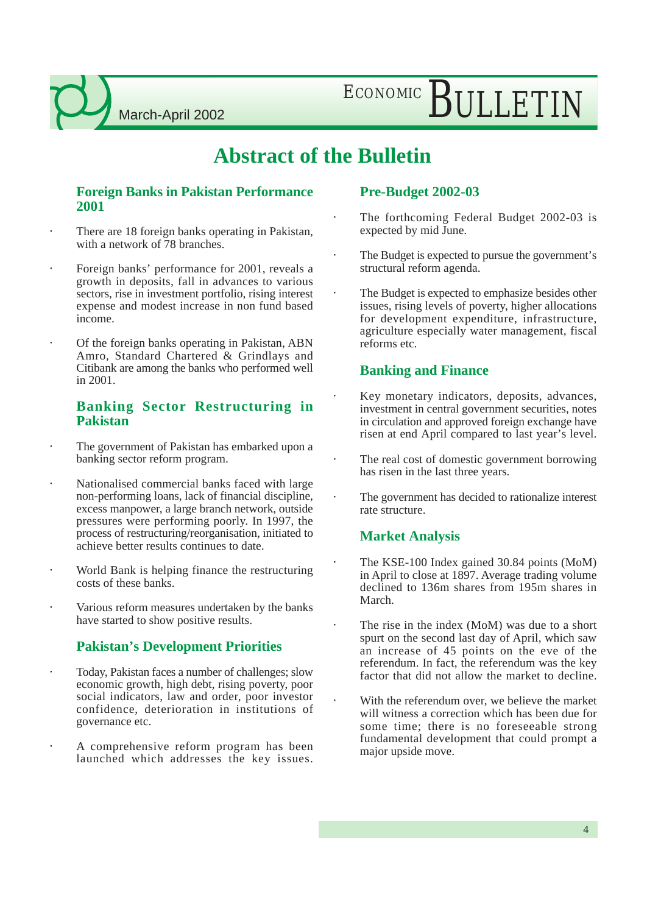ECONOMIC BULLETIN

### **Abstract of the Bulletin**

#### **Foreign Banks in Pakistan Performance 2001**

- There are 18 foreign banks operating in Pakistan, with a network of 78 branches.
- Foreign banks' performance for 2001, reveals a growth in deposits, fall in advances to various sectors, rise in investment portfolio, rising interest expense and modest increase in non fund based income.
- Of the foreign banks operating in Pakistan, ABN Amro, Standard Chartered & Grindlays and Citibank are among the banks who performed well in 2001.

#### **Banking Sector Restructuring in Pakistan**

- The government of Pakistan has embarked upon a banking sector reform program.
- Nationalised commercial banks faced with large non-performing loans, lack of financial discipline, excess manpower, a large branch network, outside pressures were performing poorly. In 1997, the process of restructuring/reorganisation, initiated to achieve better results continues to date.
- World Bank is helping finance the restructuring costs of these banks.
- Various reform measures undertaken by the banks have started to show positive results.

#### **Pakistan's Development Priorities**

- Today, Pakistan faces a number of challenges; slow economic growth, high debt, rising poverty, poor social indicators, law and order, poor investor confidence, deterioration in institutions of governance etc.
- A comprehensive reform program has been launched which addresses the key issues.

#### **Pre-Budget 2002-03**

- The forthcoming Federal Budget 2002-03 is expected by mid June.
- The Budget is expected to pursue the government's structural reform agenda.
- The Budget is expected to emphasize besides other issues, rising levels of poverty, higher allocations for development expenditure, infrastructure, agriculture especially water management, fiscal reforms etc.

#### **Banking and Finance**

- Key monetary indicators, deposits, advances, investment in central government securities, notes in circulation and approved foreign exchange have risen at end April compared to last year's level.
- The real cost of domestic government borrowing has risen in the last three years.
- The government has decided to rationalize interest rate structure.

#### **Market Analysis**

- The KSE-100 Index gained 30.84 points (MoM) in April to close at 1897. Average trading volume declined to 136m shares from 195m shares in March.
- The rise in the index (MoM) was due to a short spurt on the second last day of April, which saw an increase of 45 points on the eve of the referendum. In fact, the referendum was the key factor that did not allow the market to decline.
- With the referendum over, we believe the market will witness a correction which has been due for some time; there is no foreseeable strong fundamental development that could prompt a major upside move.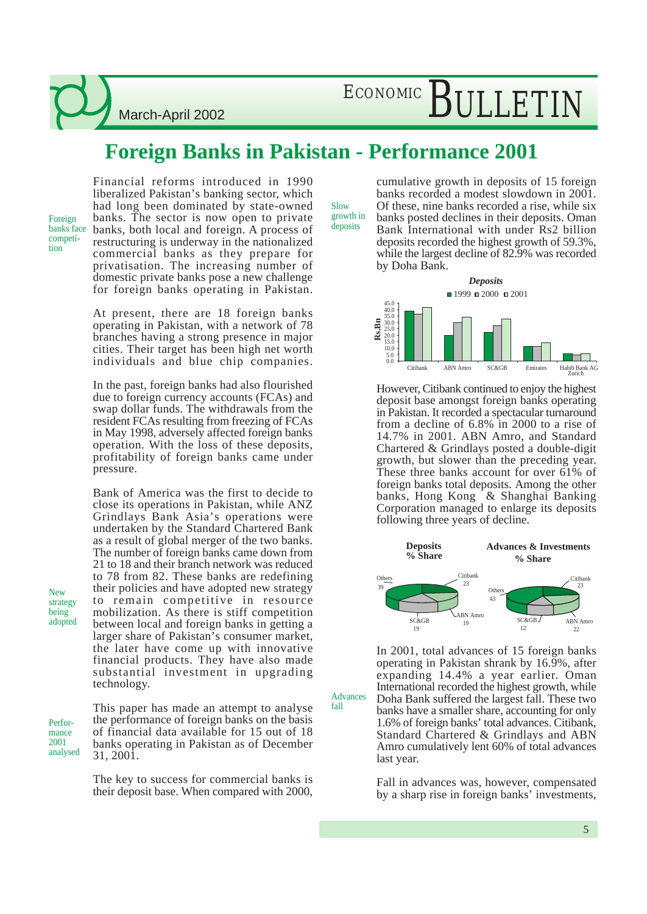## ECONOMIC BULLETIN

### **Foreign Banks in Pakistan - Performance 2001**

Foreign banks face competition

Financial reforms introduced in 1990 liberalized Pakistan's banking sector, which had long been dominated by state-owned banks. The sector is now open to private banks, both local and foreign. A process of restructuring is underway in the nationalized commercial banks as they prepare for privatisation. The increasing number of domestic private banks pose a new challenge for foreign banks operating in Pakistan.

At present, there are 18 foreign banks operating in Pakistan, with a network of 78 branches having a strong presence in major cities. Their target has been high net worth individuals and blue chip companies.

In the past, foreign banks had also flourished due to foreign currency accounts (FCAs) and swap dollar funds. The withdrawals from the resident FCAs resulting from freezing of FCAs in May 1998, adversely affected foreign banks operation. With the loss of these deposits, profitability of foreign banks came under pressure.

Bank of America was the first to decide to close its operations in Pakistan, while ANZ Grindlays Bank Asia's operations were undertaken by the Standard Chartered Bank as a result of global merger of the two banks. The number of foreign banks came down from 21 to 18 and their branch network was reduced to 78 from 82. These banks are redefining their policies and have adopted new strategy to remain competitive in resource mobilization. As there is stiff competition between local and foreign banks in getting a larger share of Pakistan's consumer market, the later have come up with innovative financial products. They have also made substantial investment in upgrading technology.

This paper has made an attempt to analyse the performance of foreign banks on the basis of financial data available for 15 out of 18 banks operating in Pakistan as of December 31, 2001.

The key to success for commercial banks is their deposit base. When compared with 2000,

Slow growth in deposits

fall

cumulative growth in deposits of 15 foreign banks recorded a modest slowdown in 2001. Of these, nine banks recorded a rise, while six banks posted declines in their deposits. Oman Bank International with under Rs2 billion deposits recorded the highest growth of 59.3%, while the largest decline of 82.9% was recorded by Doha Bank.



However, Citibank continued to enjoy the highest deposit base amongst foreign banks operating in Pakistan. It recorded a spectacular turnaround from a decline of 6.8% in 2000 to a rise of 14.7% in 2001. ABN Amro, and Standard Chartered & Grindlays posted a double-digit growth, but slower than the preceding year. These three banks account for over 61% of foreign banks total deposits. Among the other banks, Hong Kong & Shanghai Banking Corporation managed to enlarge its deposits following three years of decline.



In 2001, total advances of 15 foreign banks operating in Pakistan shrank by 16.9%, after expanding 14.4% a year earlier. Oman International recorded the highest growth, while Doha Bank suffered the largest fall. These two banks have a smaller share, accounting for only 1.6% of foreign banks' total advances. Citibank, Standard Chartered & Grindlays and ABN Amro cumulatively lent 60% of total advances last year. Advances

> Fall in advances was, however, compensated by a sharp rise in foreign banks' investments,

Performance 2001 analysed

New strategy being adopted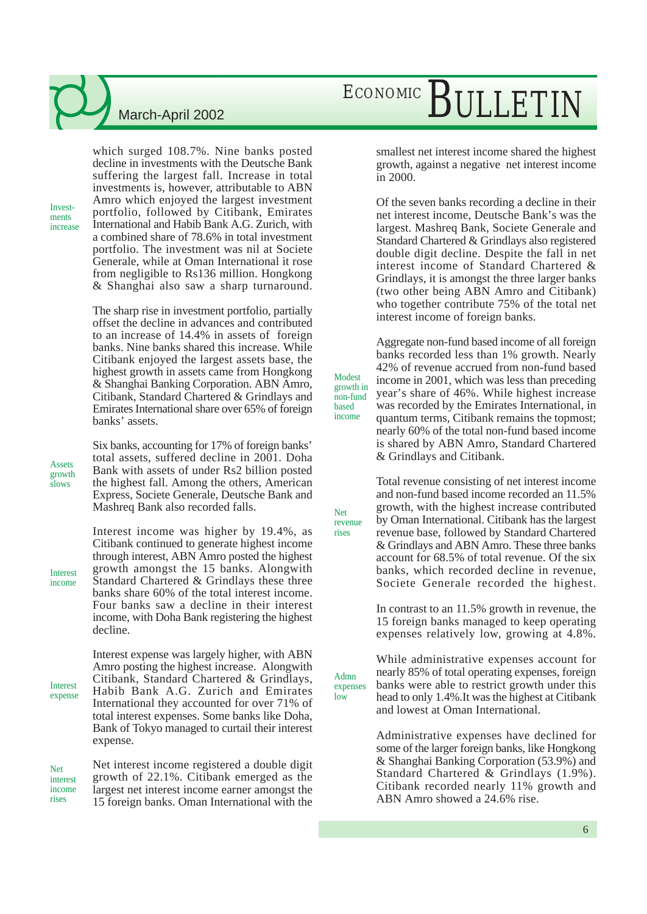Investments increase which surged 108.7%. Nine banks posted decline in investments with the Deutsche Bank suffering the largest fall. Increase in total investments is, however, attributable to ABN Amro which enjoyed the largest investment portfolio, followed by Citibank, Emirates International and Habib Bank A.G. Zurich, with a combined share of 78.6% in total investment portfolio. The investment was nil at Societe Generale, while at Oman International it rose from negligible to Rs136 million. Hongkong & Shanghai also saw a sharp turnaround.

The sharp rise in investment portfolio, partially offset the decline in advances and contributed to an increase of 14.4% in assets of foreign banks. Nine banks shared this increase. While Citibank enjoyed the largest assets base, the highest growth in assets came from Hongkong & Shanghai Banking Corporation. ABN Amro, Citibank, Standard Chartered & Grindlays and Emirates International share over 65% of foreign banks' assets.

Six banks, accounting for 17% of foreign banks' total assets, suffered decline in 2001. Doha Bank with assets of under Rs2 billion posted the highest fall. Among the others, American Express, Societe Generale, Deutsche Bank and Mashreq Bank also recorded falls.

Interest income was higher by 19.4%, as Citibank continued to generate highest income through interest, ABN Amro posted the highest growth amongst the 15 banks. Alongwith Standard Chartered & Grindlays these three banks share 60% of the total interest income. Four banks saw a decline in their interest income, with Doha Bank registering the highest decline.

Interest expense was largely higher, with ABN Amro posting the highest increase. Alongwith Citibank, Standard Chartered & Grindlays, Habib Bank A.G. Zurich and Emirates International they accounted for over 71% of total interest expenses. Some banks like Doha, Bank of Tokyo managed to curtail their interest expense. expense

Net interest income registered a double digit growth of 22.1%. Citibank emerged as the largest net interest income earner amongst the 15 foreign banks. Oman International with the rises

## ECONOMIC BULLETIN

smallest net interest income shared the highest growth, against a negative net interest income in 2000.

Of the seven banks recording a decline in their net interest income, Deutsche Bank's was the largest. Mashreq Bank, Societe Generale and Standard Chartered & Grindlays also registered double digit decline. Despite the fall in net interest income of Standard Chartered & Grindlays, it is amongst the three larger banks (two other being ABN Amro and Citibank) who together contribute 75% of the total net interest income of foreign banks.

Aggregate non-fund based income of all foreign banks recorded less than 1% growth. Nearly 42% of revenue accrued from non-fund based income in 2001, which was less than preceding year's share of 46%. While highest increase was recorded by the Emirates International, in quantum terms, Citibank remains the topmost; nearly 60% of the total non-fund based income is shared by ABN Amro, Standard Chartered & Grindlays and Citibank.

Modest growth in non-fund based income

Net revenue rises

Admn expenses low

Total revenue consisting of net interest income and non-fund based income recorded an 11.5% growth, with the highest increase contributed by Oman International. Citibank has the largest revenue base, followed by Standard Chartered & Grindlays and ABN Amro. These three banks account for 68.5% of total revenue. Of the six banks, which recorded decline in revenue, Societe Generale recorded the highest.

In contrast to an 11.5% growth in revenue, the 15 foreign banks managed to keep operating expenses relatively low, growing at 4.8%.

While administrative expenses account for nearly 85% of total operating expenses, foreign banks were able to restrict growth under this head to only 1.4%.It was the highest at Citibank and lowest at Oman International.

Administrative expenses have declined for some of the larger foreign banks, like Hongkong & Shanghai Banking Corporation (53.9%) and Standard Chartered & Grindlays (1.9%). Citibank recorded nearly 11% growth and ABN Amro showed a 24.6% rise.

growth slows

Assets

Interest income

Net interest income

Interest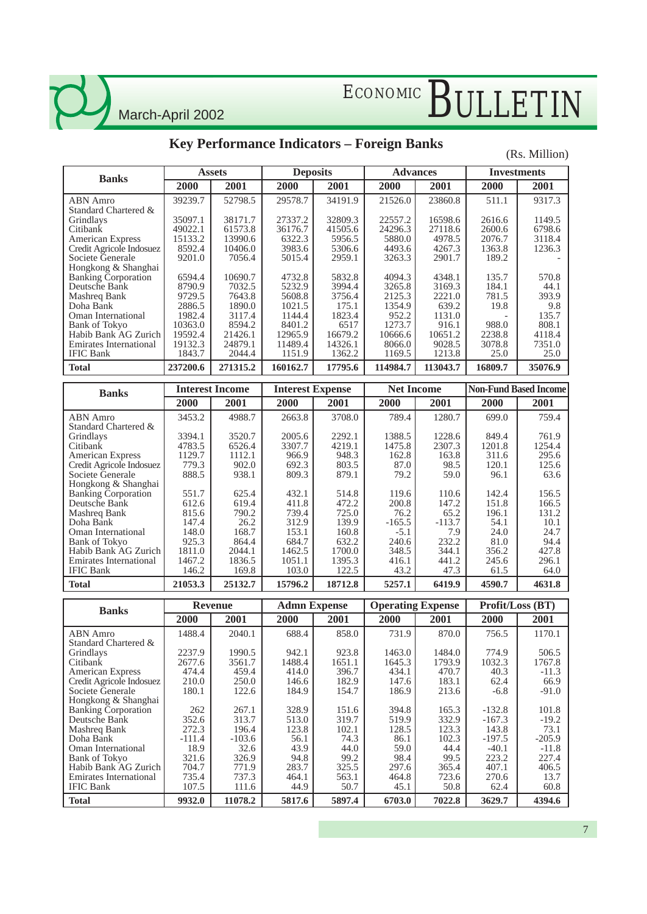### **Key Performance Indicators – Foreign Banks**

#### (Rs. Million)

| <b>Banks</b>               |          | <b>Assets</b> | <b>Deposits</b> |         | <b>Advances</b> |          | <b>Investments</b> |         |
|----------------------------|----------|---------------|-----------------|---------|-----------------|----------|--------------------|---------|
|                            | 2000     | 2001          | <b>2000</b>     | 2001    | <b>2000</b>     | 2001     | 2000               | 2001    |
| ABN Amro                   | 39239.7  | 52798.5       | 29578.7         | 34191.9 | 21526.0         | 23860.8  | 511.1              | 9317.3  |
| Standard Chartered &       |          |               |                 |         |                 |          |                    |         |
| Grindlays                  | 35097.1  | 38171.7       | 27337.2         | 32809.3 | 22557.2         | 16598.6  | 2616.6             | 1149.5  |
| Citibank                   | 49022.1  | 61573.8       | 36176.7         | 41505.6 | 24296.3         | 27118.6  | 2600.6             | 6798.6  |
| <b>American Express</b>    | 15133.2  | 13990.6       | 6322.3          | 5956.5  | 5880.0          | 4978.5   | 2076.7             | 3118.4  |
| Credit Agricole Indosuez   | 8592.4   | 10406.0       | 3983.6          | 5306.6  | 4493.6          | 4267.3   | 1363.8             | 1236.3  |
| Societe Generale           | 9201.0   | 7056.4        | 5015.4          | 2959.1  | 3263.3          | 2901.7   | 189.2              |         |
| Hongkong & Shanghai        |          |               |                 |         |                 |          |                    |         |
| <b>Banking Corporation</b> | 6594.4   | 10690.7       | 4732.8          | 5832.8  | 4094.3          | 4348.1   | 135.7              | 570.8   |
| Deutsche Bank              | 8790.9   | 7032.5        | 5232.9          | 3994.4  | 3265.8          | 3169.3   | 184.1              | 44.1    |
| Mashreq Bank               | 9729.5   | 7643.8        | 5608.8          | 3756.4  | 2125.3          | 2221.0   | 781.5              | 393.9   |
| Doha Bank                  | 2886.5   | 1890.0        | 1021.5          | 175.1   | 1354.9          | 639.2    | 19.8               | 9.8     |
| Oman International         | 1982.4   | 3117.4        | 1144.4          | 1823.4  | 952.2           | 1131.0   |                    | 135.7   |
| <b>Bank of Tokyo</b>       | 10363.0  | 8594.2        | 8401.2          | 6517    | 1273.7          | 916.1    | 988.0              | 808.1   |
| Habib Bank AG Zurich       | 19592.4  | 21426.1       | 12965.9         | 16679.2 | 10666.6         | 10651.2  | 2238.8             | 4118.4  |
| Emirates International     | 19132.3  | 24879.1       | 11489.4         | 14326.1 | 8066.0          | 9028.5   | 3078.8             | 7351.0  |
| <b>IFIC Bank</b>           | 1843.7   | 2044.4        | 1151.9          | 1362.2  | 1169.5          | 1213.8   | 25.0               | 25.0    |
| Total                      | 237200.6 | 271315.2      | 160162.7        | 17795.6 | 114984.7        | 113043.7 | 16809.7            | 35076.9 |

| <b>Banks</b>                  |         | <b>Interest Income</b> | <b>Interest Expense</b> |         | <b>Net Income</b> |          | <b>Non-Fund Based Income</b> |        |  |
|-------------------------------|---------|------------------------|-------------------------|---------|-------------------|----------|------------------------------|--------|--|
|                               | 2000    | 2001                   | 2000                    | 2001    | 2000              | 2001     | 2000                         | 2001   |  |
| ABN Amro                      | 3453.2  | 4988.7                 | 2663.8                  | 3708.0  | 789.4             | 1280.7   | 699.0                        | 759.4  |  |
| Standard Chartered &          |         |                        |                         |         |                   |          |                              |        |  |
| Grindlays                     | 3394.1  | 3520.7                 | 2005.6                  | 2292.1  | 1388.5            | 1228.6   | 849.4                        | 761.9  |  |
| Citibank                      | 4783.5  | 6526.4                 | 3307.7                  | 4219.1  | 1475.8            | 2307.3   | 1201.8                       | 1254.4 |  |
| <b>American Express</b>       | 1129.7  | 1112.1                 | 966.9                   | 948.3   | 162.8             | 163.8    | 311.6                        | 295.6  |  |
| Credit Agricole Indosuez      | 779.3   | 902.0                  | 692.3                   | 803.5   | 87.0              | 98.5     | 120.1                        | 125.6  |  |
| Societe Generale              | 888.5   | 938.1                  | 809.3                   | 879.1   | 79.2              | 59.0     | 96.1                         | 63.6   |  |
| Hongkong & Shanghai           |         |                        |                         |         |                   |          |                              |        |  |
| <b>Banking Corporation</b>    | 551.7   | 625.4                  | 432.1                   | 514.8   | 119.6             | 110.6    | 142.4                        | 156.5  |  |
| Deutsche Bank                 | 612.6   | 619.4                  | 411.8                   | 472.2   | 200.8             | 147.2    | 151.8                        | 166.5  |  |
| Mashreq Bank                  | 815.6   | 790.2                  | 739.4                   | 725.0   | 76.2              | 65.2     | 196.1                        | 131.2  |  |
| Doha Bank                     | 147.4   | 26.2                   | 312.9                   | 139.9   | $-165.5$          | $-113.7$ | 54.1                         | 10.1   |  |
| Oman International            | 148.0   | 168.7                  | 153.1                   | 160.8   | $-5.1$            | 7.9      | 24.0                         | 24.7   |  |
| Bank of Tokyo                 | 925.3   | 864.4                  | 684.7                   | 632.2   | 240.6             | 232.2    | 81.0                         | 94.4   |  |
| Habib Bank AG Zurich          | 1811.0  | 2044.1                 | 1462.5                  | 1700.0  | 348.5             | 344.1    | 356.2                        | 427.8  |  |
| <b>Emirates International</b> | 1467.2  | 1836.5                 | 1051.1                  | 1395.3  | 416.1             | 441.2    | 245.6                        | 296.1  |  |
| <b>IFIC Bank</b>              | 146.2   | 169.8                  | 103.0                   | 122.5   | 43.2              | 47.3     | 61.5                         | 64.0   |  |
| <b>Total</b>                  | 21053.3 | 25132.7                | 15796.2                 | 18712.8 | 5257.1            | 6419.9   | 4590.7                       | 4631.8 |  |

| <b>Banks</b>                  |          | Revenue  | <b>Admn</b> Expense |        | <b>Operating Expense</b> |        |          | Profit/Loss (BT) |
|-------------------------------|----------|----------|---------------------|--------|--------------------------|--------|----------|------------------|
|                               | 2000     | 2001     | 2000                | 2001   | 2000                     | 2001   | 2000     | 2001             |
| ABN Amro                      | 1488.4   | 2040.1   | 688.4               | 858.0  | 731.9                    | 870.0  | 756.5    | 1170.1           |
| Standard Chartered &          |          |          |                     |        |                          |        |          |                  |
| <b>Grindlays</b>              | 2237.9   | 1990.5   | 942.1               | 923.8  | 1463.0                   | 1484.0 | 774.9    | 506.5            |
| Citibank                      | 2677.6   | 3561.7   | 1488.4              | 1651.1 | 1645.3                   | 1793.9 | 1032.3   | 1767.8           |
| <b>American Express</b>       | 474.4    | 459.4    | 414.0               | 396.7  | 434.1                    | 470.7  | 40.3     | $-11.3$          |
| Credit Agricole Indosuez      | 210.0    | 250.0    | 146.6               | 182.9  | 147.6                    | 183.1  | 62.4     | 66.9             |
| Societe Generale              | 180.1    | 122.6    | 184.9               | 154.7  | 186.9                    | 213.6  | $-6.8$   | $-91.0$          |
| Hongkong & Shanghai           |          |          |                     |        |                          |        |          |                  |
| <b>Banking Corporation</b>    | 262      | 267.1    | 328.9               | 151.6  | 394.8                    | 165.3  | $-132.8$ | 101.8            |
| Deutsche Bank                 | 352.6    | 313.7    | 513.0               | 319.7  | 519.9                    | 332.9  | $-167.3$ | $-19.2$          |
| Mashreq Bank                  | 272.3    | 196.4    | 123.8               | 102.1  | 128.5                    | 123.3  | 143.8    | 73.1             |
| Doha Bank                     | $-111.4$ | $-103.6$ | 56.1                | 74.3   | 86.1                     | 102.3  | -197.5   | $-205.9$         |
| Oman International            | 18.9     | 32.6     | 43.9                | 44.0   | 59.0                     | 44.4   | $-40.1$  | $-11.8$          |
| <b>Bank of Tokyo</b>          | 321.6    | 326.9    | 94.8                | 99.2   | 98.4                     | 99.5   | 223.2    | 227.4            |
| Habib Bank AG Zurich          | 704.7    | 771.9    | 283.7               | 325.5  | 297.6                    | 365.4  | 407.1    | 406.5            |
| <b>Emirates International</b> | 735.4    | 737.3    | 464.1               | 563.1  | 464.8                    | 723.6  | 270.6    | 13.7             |
| <b>IFIC Bank</b>              | 107.5    | 111.6    | 44.9                | 50.7   | 45.1                     | 50.8   | 62.4     | 60.8             |
| <b>Total</b>                  | 9932.0   | 11078.2  | 5817.6              | 5897.4 | 6703.0                   | 7022.8 | 3629.7   | 4394.6           |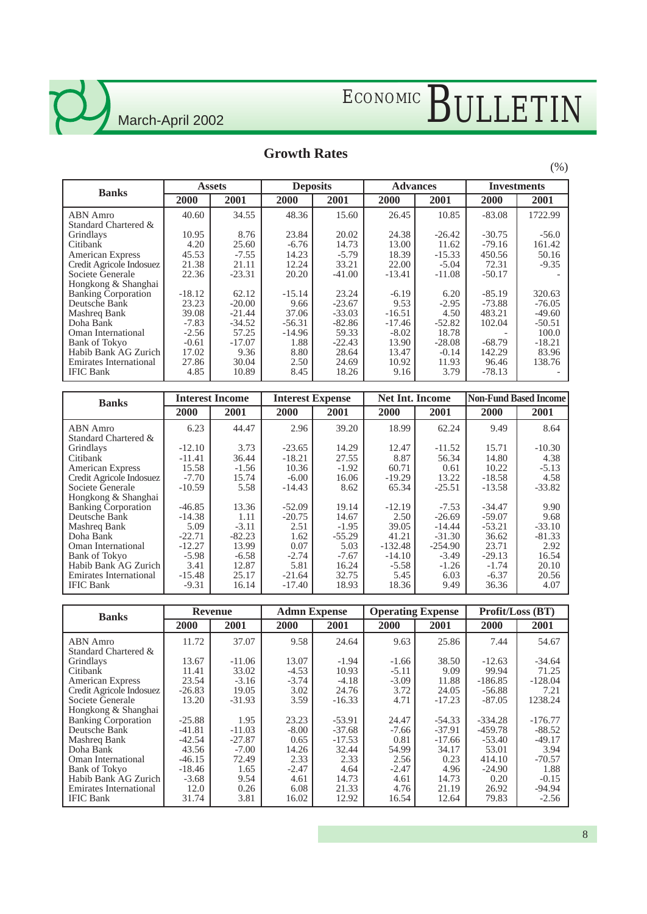# ECONOMIC BULLETIN

#### **Growth Rates**

| <b>Banks</b>                                 |                    | <b>Assets</b>     | <b>Deposits</b>      |                   | <b>Advances</b>     |                     | <b>Investments</b>   |                    |  |
|----------------------------------------------|--------------------|-------------------|----------------------|-------------------|---------------------|---------------------|----------------------|--------------------|--|
|                                              | <b>2000</b>        | 2001              | <b>2000</b>          | 2001              | 2000                | 2001                | 2000                 | 2001               |  |
| <b>ABN</b> Amro<br>Standard Chartered &      | 40.60              | 34.55             | 48.36                | 15.60             | 26.45               | 10.85               | $-83.08$             | 1722.99            |  |
| Grindlays                                    | 10.95              | 8.76              | 23.84                | 20.02             | 24.38               | $-26.42$            | $-30.75$             | $-56.0$            |  |
| Citibank<br><b>American Express</b>          | 4.20<br>45.53      | 25.60<br>$-7.55$  | $-6.76$<br>14.23     | 14.73<br>$-5.79$  | 13.00<br>18.39      | 11.62<br>$-15.33$   | $-79.16$<br>450.56   | 161.42<br>50.16    |  |
| Credit Agricole Indosuez<br>Societe Generale | 21.38<br>22.36     | 21.11<br>$-23.31$ | 12.24<br>20.20       | 33.21<br>$-41.00$ | 22.00<br>$-13.41$   | $-5.04$<br>$-11.08$ | 72.31<br>$-50.17$    | $-9.35$            |  |
| Hongkong & Shanghai                          |                    |                   |                      |                   |                     |                     |                      |                    |  |
| <b>Banking Corporation</b><br>Deutsche Bank  | $-18.12$<br>23.23  | 62.12<br>$-20.00$ | $-15.14$<br>9.66     | 23.24<br>$-23.67$ | $-6.19$<br>9.53     | 6.20<br>$-2.95$     | $-85.19$<br>$-73.88$ | 320.63<br>$-76.05$ |  |
| Mashreg Bank                                 | 39.08              | $-21.44$          | 37.06                | $-33.03$          | $-16.51$            | 4.50                | 483.21               | $-49.60$           |  |
| Doha Bank<br>Oman International              | $-7.83$<br>$-2.56$ | $-34.52$<br>57.25 | $-56.31$<br>$-14.96$ | $-82.86$<br>59.33 | $-17.46$<br>$-8.02$ | $-52.82$<br>18.78   | 102.04               | $-50.51$<br>100.0  |  |
| <b>Bank of Tokyo</b><br>Habib Bank AG Zurich | $-0.61$<br>17.02   | $-17.07$<br>9.36  | 1.88<br>8.80         | $-22.43$<br>28.64 | 13.90<br>13.47      | $-28.08$<br>$-0.14$ | $-68.79$<br>142.29   | $-18.21$<br>83.96  |  |
| <b>Emirates International</b>                | 27.86              | 30.04             | 2.50                 | 24.69             | 10.92               | 11.93               | 96.46                | 138.76             |  |
| <b>IFIC Bank</b>                             | 4.85               | 10.89             | 8.45                 | 18.26             | 9.16                | 3.79                | $-78.13$             |                    |  |

| <b>Banks</b>                  |          | <b>Interest Income</b> | <b>Interest Expense</b> |          | <b>Net Int. Income</b> |           | <b>Non-Fund Based Income</b> |          |  |
|-------------------------------|----------|------------------------|-------------------------|----------|------------------------|-----------|------------------------------|----------|--|
|                               | 2000     | 2001                   | 2000                    | 2001     | 2000                   | 2001      | 2000                         | 2001     |  |
| ABN Amro                      | 6.23     | 44.47                  | 2.96                    | 39.20    | 18.99                  | 62.24     | 9.49                         | 8.64     |  |
| Standard Chartered &          |          |                        |                         |          |                        |           |                              |          |  |
| Grindlays                     | $-12.10$ | 3.73                   | $-23.65$                | 14.29    | 12.47                  | $-11.52$  | 15.71                        | $-10.30$ |  |
| Citibank                      | $-11.41$ | 36.44                  | $-18.21$                | 27.55    | 8.87                   | 56.34     | 14.80                        | 4.38     |  |
| <b>American Express</b>       | 15.58    | $-1.56$                | 10.36                   | $-1.92$  | 60.71                  | 0.61      | 10.22                        | $-5.13$  |  |
| Credit Agricole Indosuez      | $-7.70$  | 15.74                  | $-6.00$                 | 16.06    | $-19.29$               | 13.22     | $-18.58$                     | 4.58     |  |
| Societe Generale              | $-10.59$ | 5.58                   | $-14.43$                | 8.62     | 65.34                  | $-25.51$  | $-13.58$                     | $-33.82$ |  |
| Hongkong & Shanghai           |          |                        |                         |          |                        |           |                              |          |  |
| <b>Banking Corporation</b>    | $-46.85$ | 13.36                  | $-52.09$                | 19.14    | $-12.19$               | $-7.53$   | $-34.47$                     | 9.90     |  |
| Deutsche Bank                 | $-14.38$ | 1.11                   | $-20.75$                | 14.67    | 2.50                   | $-26.69$  | $-59.07$                     | 9.68     |  |
| Mashreq Bank                  | 5.09     | $-3.11$                | 2.51                    | $-1.95$  | 39.05                  | $-14.44$  | $-53.21$                     | $-33.10$ |  |
| Doha Bank                     | $-22.71$ | $-82.23$               | 1.62                    | $-55.29$ | 41.21                  | $-31.30$  | 36.62                        | $-81.33$ |  |
| Oman International            | $-12.27$ | 13.99                  | 0.07                    | 5.03     | $-132.48$              | $-254.90$ | 23.71                        | 2.92     |  |
| <b>Bank of Tokyo</b>          | $-5.98$  | $-6.58$                | $-2.74$                 | $-7.67$  | $-14.10$               | $-3.49$   | $-29.13$                     | 16.54    |  |
| Habib Bank AG Zurich          | 3.41     | 12.87                  | 5.81                    | 16.24    | $-5.58$                | $-1.26$   | $-1.74$                      | 20.10    |  |
| <b>Emirates International</b> | $-15.48$ | 25.17                  | $-21.64$                | 32.75    | 5.45                   | 6.03      | $-6.37$                      | 20.56    |  |
| <b>IFIC Bank</b>              | $-9.31$  | 16.14                  | $-17.40$                | 18.93    | 18.36                  | 9.49      | 36.36                        | 4.07     |  |

| <b>Banks</b>               |          | Revenue  |         | <b>Admn Expense</b> |         | <b>Operating Expense</b> | Profit/Loss (BT) |           |  |
|----------------------------|----------|----------|---------|---------------------|---------|--------------------------|------------------|-----------|--|
|                            | 2000     | 2001     | 2000    | 2001                | 2000    | 2001                     | 2000             | 2001      |  |
| <b>ABN</b> Amro            | 11.72    | 37.07    | 9.58    | 24.64               | 9.63    | 25.86                    | 7.44             | 54.67     |  |
| Standard Chartered &       |          |          |         |                     |         |                          |                  |           |  |
| Grindlays                  | 13.67    | $-11.06$ | 13.07   | $-1.94$             | $-1.66$ | 38.50                    | $-12.63$         | $-34.64$  |  |
| Citibank                   | 11.41    | 33.02    | $-4.53$ | 10.93               | $-5.11$ | 9.09                     | 99.94            | 71.25     |  |
| <b>American Express</b>    | 23.54    | $-3.16$  | $-3.74$ | $-4.18$             | $-3.09$ | 11.88                    | $-186.85$        | $-128.04$ |  |
| Credit Agricole Indosuez   | $-26.83$ | 19.05    | 3.02    | 24.76               | 3.72    | 24.05                    | $-56.88$         | 7.21      |  |
| Societe Generale           | 13.20    | $-31.93$ | 3.59    | $-16.33$            | 4.71    | $-17.23$                 | $-87.05$         | 1238.24   |  |
| Hongkong & Shanghai        |          |          |         |                     |         |                          |                  |           |  |
| <b>Banking Corporation</b> | $-25.88$ | 1.95     | 23.23   | $-53.91$            | 24.47   | $-54.33$                 | $-334.28$        | $-176.77$ |  |
| Deutsche Bank              | $-41.81$ | $-11.03$ | $-8.00$ | $-37.68$            | $-7.66$ | $-37.91$                 | -459.78          | $-88.52$  |  |
| Mashreg Bank               | $-42.54$ | $-27.87$ | 0.65    | $-17.53$            | 0.81    | $-17.66$                 | $-53.40$         | $-49.17$  |  |
| Doha Bank                  | 43.56    | $-7.00$  | 14.26   | 32.44               | 54.99   | 34.17                    | 53.01            | 3.94      |  |
| Oman International         | $-46.15$ | 72.49    | 2.33    | 2.33                | 2.56    | 0.23                     | 414.10           | $-70.57$  |  |
| <b>Bank of Tokyo</b>       | $-18.46$ | 1.65     | $-2.47$ | 4.64                | $-2.47$ | 4.96                     | $-24.90$         | 1.88      |  |
| Habib Bank AG Zurich       | $-3.68$  | 9.54     | 4.61    | 14.73               | 4.61    | 14.73                    | 0.20             | $-0.15$   |  |
| Emirates International     | 12.0     | 0.26     | 6.08    | 21.33               | 4.76    | 21.19                    | 26.92            | $-94.94$  |  |
| <b>IFIC Bank</b>           | 31.74    | 3.81     | 16.02   | 12.92               | 16.54   | 12.64                    | 79.83            | $-2.56$   |  |

(%)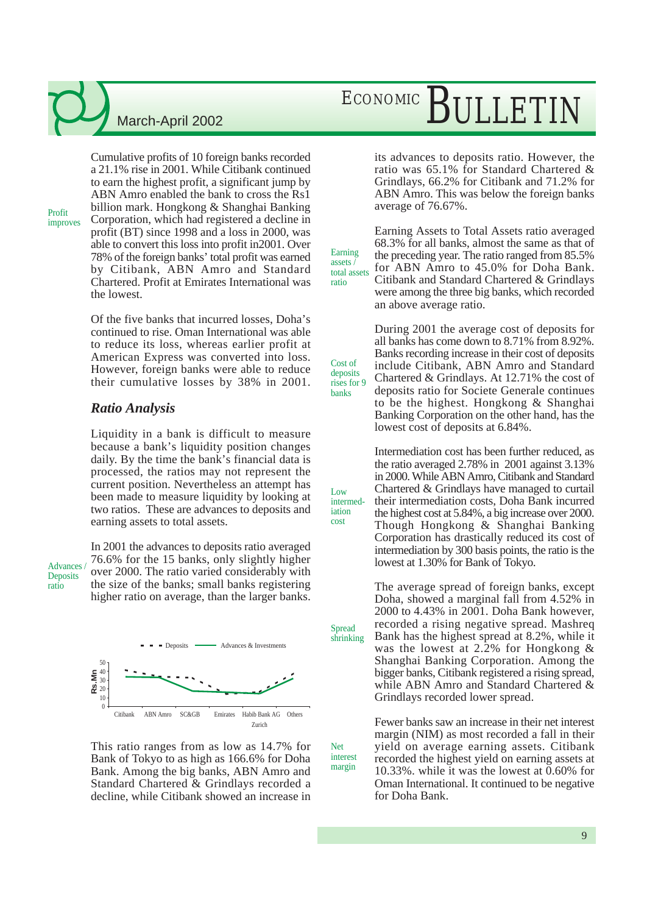## ECONOMIC BULLETIN

Cumulative profits of 10 foreign banks recorded a 21.1% rise in 2001. While Citibank continued to earn the highest profit, a significant jump by ABN Amro enabled the bank to cross the Rs1 billion mark. Hongkong & Shanghai Banking Corporation, which had registered a decline in profit (BT) since 1998 and a loss in 2000, was able to convert this loss into profit in2001. Over 78% of the foreign banks' total profit was earned by Citibank, ABN Amro and Standard Chartered. Profit at Emirates International was the lowest. improves

> Of the five banks that incurred losses, Doha's continued to rise. Oman International was able to reduce its loss, whereas earlier profit at American Express was converted into loss. However, foreign banks were able to reduce their cumulative losses by 38% in 2001.

#### *Ratio Analysis*

Liquidity in a bank is difficult to measure because a bank's liquidity position changes daily. By the time the bank's financial data is processed, the ratios may not represent the current position. Nevertheless an attempt has been made to measure liquidity by looking at two ratios. These are advances to deposits and earning assets to total assets.

Advances / **Deposits** ratio

Profit

In 2001 the advances to deposits ratio averaged 76.6% for the 15 banks, only slightly higher over 2000. The ratio varied considerably with the size of the banks; small banks registering higher ratio on average, than the larger banks.



This ratio ranges from as low as 14.7% for Bank of Tokyo to as high as 166.6% for Doha Bank. Among the big banks, ABN Amro and Standard Chartered & Grindlays recorded a decline, while Citibank showed an increase in

its advances to deposits ratio. However, the ratio was 65.1% for Standard Chartered & Grindlays, 66.2% for Citibank and 71.2% for ABN Amro. This was below the foreign banks average of 76.67%.

total assets Earning Assets to Total Assets ratio averaged 68.3% for all banks, almost the same as that of the preceding year. The ratio ranged from 85.5% for ABN Amro to 45.0% for Doha Bank. Citibank and Standard Chartered & Grindlays were among the three big banks, which recorded an above average ratio.

Earning assets /

ratio

Cost of deposits rises for 9 banks

 $\overline{L}$   $\alpha w$ intermediation cost

Net interest margin

**Spread** shrinking During 2001 the average cost of deposits for all banks has come down to 8.71% from 8.92%. Banks recording increase in their cost of deposits include Citibank, ABN Amro and Standard Chartered & Grindlays. At 12.71% the cost of deposits ratio for Societe Generale continues to be the highest. Hongkong & Shanghai Banking Corporation on the other hand, has the lowest cost of deposits at 6.84%.

Intermediation cost has been further reduced, as the ratio averaged 2.78% in 2001 against 3.13% in 2000. While ABN Amro, Citibank and Standard Chartered & Grindlays have managed to curtail their intermediation costs, Doha Bank incurred the highest cost at 5.84%, a big increase over 2000. Though Hongkong & Shanghai Banking Corporation has drastically reduced its cost of intermediation by 300 basis points, the ratio is the lowest at 1.30% for Bank of Tokyo.

The average spread of foreign banks, except Doha, showed a marginal fall from 4.52% in 2000 to 4.43% in 2001. Doha Bank however, recorded a rising negative spread. Mashreq Bank has the highest spread at 8.2%, while it was the lowest at 2.2% for Hongkong & Shanghai Banking Corporation. Among the bigger banks, Citibank registered a rising spread, while ABN Amro and Standard Chartered & Grindlays recorded lower spread.

Fewer banks saw an increase in their net interest margin (NIM) as most recorded a fall in their yield on average earning assets. Citibank recorded the highest yield on earning assets at 10.33%. while it was the lowest at 0.60% for Oman International. It continued to be negative for Doha Bank.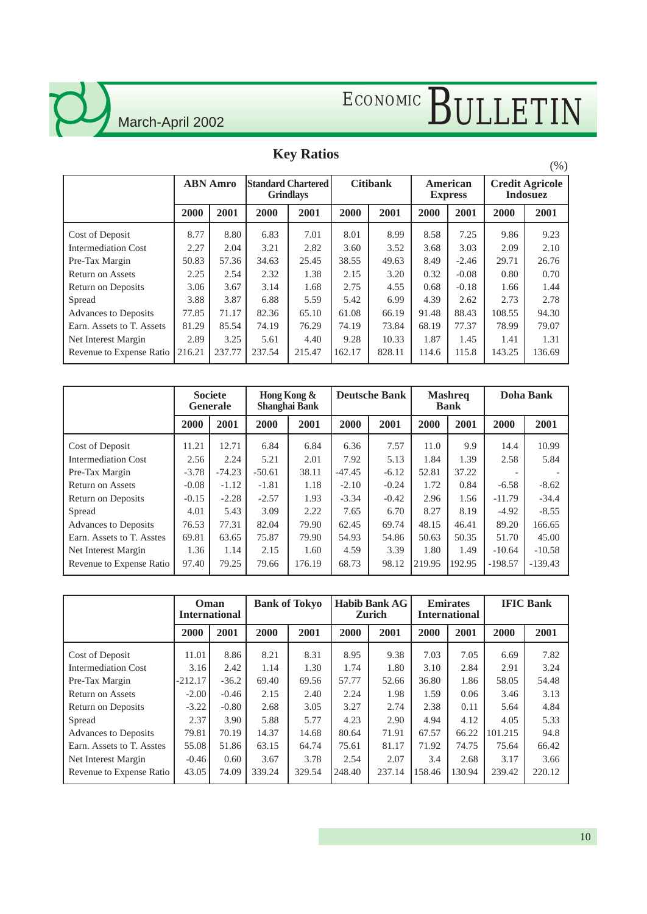

 $\zeta$ 

# ECONOMIC BULLETIN

### **Key Ratios**

|                             |                 |        |                                               |        |                 |        |                            |         |                                           | $(\% )$ |
|-----------------------------|-----------------|--------|-----------------------------------------------|--------|-----------------|--------|----------------------------|---------|-------------------------------------------|---------|
|                             | <b>ABN</b> Amro |        | <b>Standard Chartered</b><br><b>Grindlays</b> |        | <b>Citibank</b> |        | American<br><b>Express</b> |         | <b>Credit Agricole</b><br><b>Indosuez</b> |         |
|                             | 2000            | 2001   | 2000                                          | 2001   | 2000            | 2001   | 2000                       | 2001    | 2000                                      | 2001    |
| Cost of Deposit             | 8.77            | 8.80   | 6.83                                          | 7.01   | 8.01            | 8.99   | 8.58                       | 7.25    | 9.86                                      | 9.23    |
| <b>Intermediation Cost</b>  | 2.27            | 2.04   | 3.21                                          | 2.82   | 3.60            | 3.52   | 3.68                       | 3.03    | 2.09                                      | 2.10    |
| Pre-Tax Margin              | 50.83           | 57.36  | 34.63                                         | 25.45  | 38.55           | 49.63  | 8.49                       | $-2.46$ | 29.71                                     | 26.76   |
| <b>Return on Assets</b>     | 2.25            | 2.54   | 2.32                                          | 1.38   | 2.15            | 3.20   | 0.32                       | $-0.08$ | 0.80                                      | 0.70    |
| Return on Deposits          | 3.06            | 3.67   | 3.14                                          | 1.68   | 2.75            | 4.55   | 0.68                       | $-0.18$ | 1.66                                      | 1.44    |
| Spread                      | 3.88            | 3.87   | 6.88                                          | 5.59   | 5.42            | 6.99   | 4.39                       | 2.62    | 2.73                                      | 2.78    |
| <b>Advances to Deposits</b> | 77.85           | 71.17  | 82.36                                         | 65.10  | 61.08           | 66.19  | 91.48                      | 88.43   | 108.55                                    | 94.30   |
| Earn. Assets to T. Assets   | 81.29           | 85.54  | 74.19                                         | 76.29  | 74.19           | 73.84  | 68.19                      | 77.37   | 78.99                                     | 79.07   |
| Net Interest Margin         | 2.89            | 3.25   | 5.61                                          | 4.40   | 9.28            | 10.33  | 1.87                       | 1.45    | 1.41                                      | 1.31    |
| Revenue to Expense Ratio    | 216.21          | 237.77 | 237.54                                        | 215.47 | 162.17          | 828.11 | 114.6                      | 115.8   | 143.25                                    | 136.69  |

|                             |         | <b>Societe</b><br><b>Generale</b> |          | Hong Kong &<br><b>Shanghai Bank</b> |          | <b>Deutsche Bank</b> |        | <b>Mashreq</b><br><b>Bank</b> |           | Doha Bank |  |
|-----------------------------|---------|-----------------------------------|----------|-------------------------------------|----------|----------------------|--------|-------------------------------|-----------|-----------|--|
|                             | 2000    | 2001                              | 2000     | 2001                                | 2000     | 2001                 | 2000   | 2001                          | 2000      | 2001      |  |
| Cost of Deposit             | 11.21   | 12.71                             | 6.84     | 6.84                                | 6.36     | 7.57                 | 11.0   | 9.9                           | 14.4      | 10.99     |  |
| <b>Intermediation Cost</b>  | 2.56    | 2.24                              | 5.21     | 2.01                                | 7.92     | 5.13                 | 1.84   | 1.39                          | 2.58      | 5.84      |  |
| Pre-Tax Margin              | $-3.78$ | $-74.23$                          | $-50.61$ | 38.11                               | $-47.45$ | $-6.12$              | 52.81  | 37.22                         |           |           |  |
| <b>Return on Assets</b>     | $-0.08$ | $-1.12$                           | $-1.81$  | 1.18                                | $-2.10$  | $-0.24$              | 1.72   | 0.84                          | $-6.58$   | $-8.62$   |  |
| Return on Deposits          | $-0.15$ | $-2.28$                           | $-2.57$  | 1.93                                | $-3.34$  | $-0.42$              | 2.96   | 1.56                          | $-11.79$  | $-34.4$   |  |
| Spread                      | 4.01    | 5.43                              | 3.09     | 2.22                                | 7.65     | 6.70                 | 8.27   | 8.19                          | $-4.92$   | $-8.55$   |  |
| <b>Advances to Deposits</b> | 76.53   | 77.31                             | 82.04    | 79.90                               | 62.45    | 69.74                | 48.15  | 46.41                         | 89.20     | 166.65    |  |
| Earn. Assets to T. Asstes   | 69.81   | 63.65                             | 75.87    | 79.90                               | 54.93    | 54.86                | 50.63  | 50.35                         | 51.70     | 45.00     |  |
| Net Interest Margin         | 1.36    | 1.14                              | 2.15     | 1.60                                | 4.59     | 3.39                 | 1.80   | 1.49                          | $-10.64$  | $-10.58$  |  |
| Revenue to Expense Ratio    | 97.40   | 79.25                             | 79.66    | 176.19                              | 68.73    | 98.12                | 219.95 | 192.95                        | $-198.57$ | $-139.43$ |  |

|                             | Oman<br><b>International</b> |         | <b>Bank of Tokyo</b> |        | <b>Habib Bank AG</b><br><b>Zurich</b> |        | <b>Emirates</b><br><b>International</b> |        | <b>IFIC Bank</b> |        |
|-----------------------------|------------------------------|---------|----------------------|--------|---------------------------------------|--------|-----------------------------------------|--------|------------------|--------|
|                             | 2000                         | 2001    | 2000                 | 2001   | 2000                                  | 2001   | 2000                                    | 2001   | 2000             | 2001   |
| Cost of Deposit             | 11.01                        | 8.86    | 8.21                 | 8.31   | 8.95                                  | 9.38   | 7.03                                    | 7.05   | 6.69             | 7.82   |
| <b>Intermediation Cost</b>  | 3.16                         | 2.42    | 1.14                 | 1.30   | 1.74                                  | 1.80   | 3.10                                    | 2.84   | 2.91             | 3.24   |
| Pre-Tax Margin              | $-212.17$                    | $-36.2$ | 69.40                | 69.56  | 57.77                                 | 52.66  | 36.80                                   | 1.86   | 58.05            | 54.48  |
| <b>Return on Assets</b>     | $-2.00$                      | $-0.46$ | 2.15                 | 2.40   | 2.24                                  | 1.98   | 1.59                                    | 0.06   | 3.46             | 3.13   |
| Return on Deposits          | $-3.22$                      | $-0.80$ | 2.68                 | 3.05   | 3.27                                  | 2.74   | 2.38                                    | 0.11   | 5.64             | 4.84   |
| Spread                      | 2.37                         | 3.90    | 5.88                 | 5.77   | 4.23                                  | 2.90   | 4.94                                    | 4.12   | 4.05             | 5.33   |
| <b>Advances to Deposits</b> | 79.81                        | 70.19   | 14.37                | 14.68  | 80.64                                 | 71.91  | 67.57                                   | 66.22  | 101.215          | 94.8   |
| Earn. Assets to T. Asstes   | 55.08                        | 51.86   | 63.15                | 64.74  | 75.61                                 | 81.17  | 71.92                                   | 74.75  | 75.64            | 66.42  |
| Net Interest Margin         | $-0.46$                      | 0.60    | 3.67                 | 3.78   | 2.54                                  | 2.07   | 3.4                                     | 2.68   | 3.17             | 3.66   |
| Revenue to Expense Ratio    | 43.05                        | 74.09   | 339.24               | 329.54 | 248.40                                | 237.14 | 158.46                                  | 130.94 | 239.42           | 220.12 |

10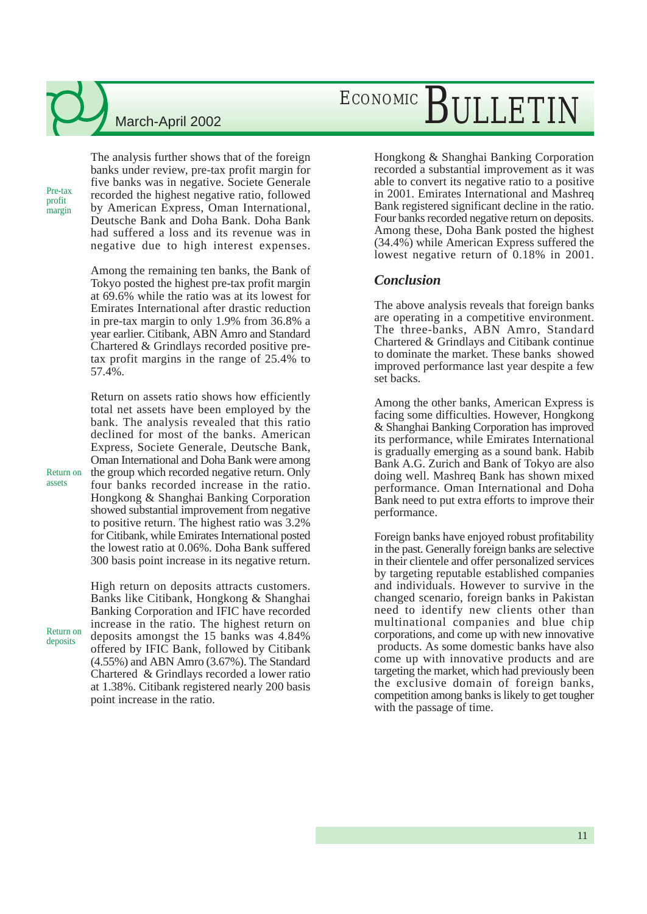Pre-tax profit margin The analysis further shows that of the foreign banks under review, pre-tax profit margin for five banks was in negative. Societe Generale recorded the highest negative ratio, followed by American Express, Oman International, Deutsche Bank and Doha Bank. Doha Bank had suffered a loss and its revenue was in negative due to high interest expenses.

Among the remaining ten banks, the Bank of Tokyo posted the highest pre-tax profit margin at 69.6% while the ratio was at its lowest for Emirates International after drastic reduction in pre-tax margin to only 1.9% from 36.8% a year earlier. Citibank, ABN Amro and Standard Chartered & Grindlays recorded positive pretax profit margins in the range of 25.4% to 57.4%.

Return on assets ratio shows how efficiently total net assets have been employed by the bank. The analysis revealed that this ratio declined for most of the banks. American Express, Societe Generale, Deutsche Bank, Oman International and Doha Bank were among the group which recorded negative return. Only four banks recorded increase in the ratio. Hongkong & Shanghai Banking Corporation showed substantial improvement from negative to positive return. The highest ratio was 3.2% for Citibank, while Emirates International posted the lowest ratio at 0.06%. Doha Bank suffered 300 basis point increase in its negative return.

High return on deposits attracts customers. Banks like Citibank, Hongkong & Shanghai Banking Corporation and IFIC have recorded increase in the ratio. The highest return on deposits amongst the 15 banks was 4.84% offered by IFIC Bank, followed by Citibank (4.55%) and ABN Amro (3.67%). The Standard Chartered & Grindlays recorded a lower ratio at 1.38%. Citibank registered nearly 200 basis point increase in the ratio.

## ECONOMIC BULLETIN

Hongkong & Shanghai Banking Corporation recorded a substantial improvement as it was able to convert its negative ratio to a positive in 2001. Emirates International and Mashreq Bank registered significant decline in the ratio. Four banks recorded negative return on deposits. Among these, Doha Bank posted the highest (34.4%) while American Express suffered the lowest negative return of 0.18% in 2001.

#### *Conclusion*

The above analysis reveals that foreign banks are operating in a competitive environment. The three-banks, ABN Amro, Standard Chartered & Grindlays and Citibank continue to dominate the market. These banks showed improved performance last year despite a few set backs.

Among the other banks, American Express is facing some difficulties. However, Hongkong & Shanghai Banking Corporation has improved its performance, while Emirates International is gradually emerging as a sound bank. Habib Bank A.G. Zurich and Bank of Tokyo are also doing well. Mashreq Bank has shown mixed performance. Oman International and Doha Bank need to put extra efforts to improve their performance.

Foreign banks have enjoyed robust profitability in the past. Generally foreign banks are selective in their clientele and offer personalized services by targeting reputable established companies and individuals. However to survive in the changed scenario, foreign banks in Pakistan need to identify new clients other than multinational companies and blue chip corporations, and come up with new innovative products. As some domestic banks have also come up with innovative products and are targeting the market, which had previously been the exclusive domain of foreign banks, competition among banks is likely to get tougher with the passage of time.

Return on assets

Return on deposits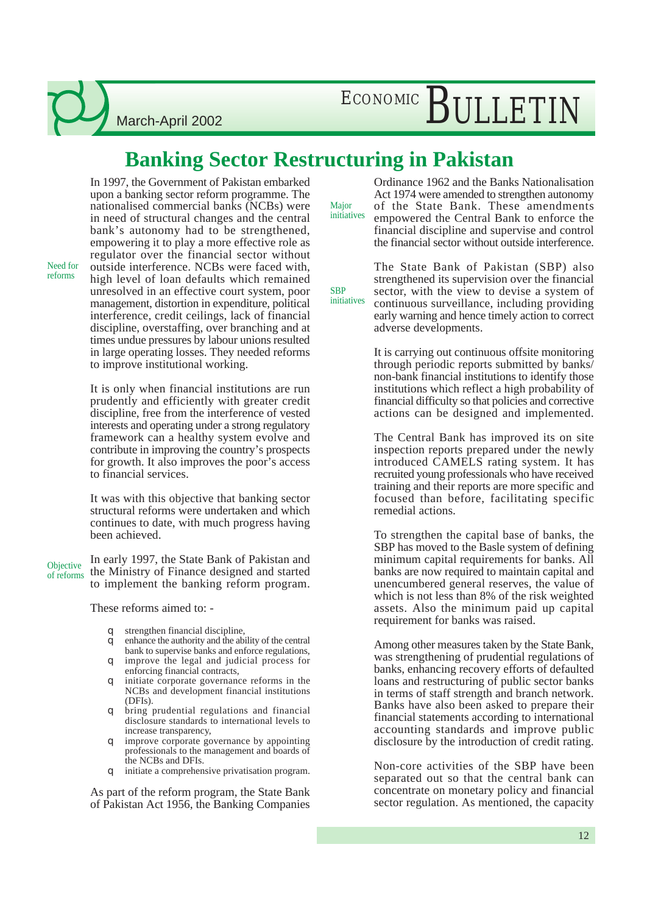March-April 2002

### **Banking Sector Restructuring in Pakistan**

In 1997, the Government of Pakistan embarked upon a banking sector reform programme. The nationalised commercial banks (NCBs) were in need of structural changes and the central bank's autonomy had to be strengthened, empowering it to play a more effective role as regulator over the financial sector without outside interference. NCBs were faced with, high level of loan defaults which remained unresolved in an effective court system, poor management, distortion in expenditure, political interference, credit ceilings, lack of financial discipline, overstaffing, over branching and at times undue pressures by labour unions resulted

Need for reforms

> in large operating losses. They needed reforms to improve institutional working. It is only when financial institutions are run

> prudently and efficiently with greater credit discipline, free from the interference of vested interests and operating under a strong regulatory framework can a healthy system evolve and contribute in improving the country's prospects for growth. It also improves the poor's access to financial services.

> It was with this objective that banking sector structural reforms were undertaken and which continues to date, with much progress having been achieved.

In early 1997, the State Bank of Pakistan and the Ministry of Finance designed and started to implement the banking reform program. **Objective** of reforms

These reforms aimed to: -

- q strengthen financial discipline,
- q enhance the authority and the ability of the central bank to supervise banks and enforce regulations, q improve the legal and judicial process for
- enforcing financial contracts,
- q initiate corporate governance reforms in the NCBs and development financial institutions (DFIs).
- q bring prudential regulations and financial disclosure standards to international levels to increase transparency,
- q improve corporate governance by appointing professionals to the management and boards of the NCBs and DFIs.
- q initiate a comprehensive privatisation program.

As part of the reform program, the State Bank of Pakistan Act 1956, the Banking Companies

**Major** initiatives

> **SBP** initiatives

Ordinance 1962 and the Banks Nationalisation Act 1974 were amended to strengthen autonomy of the State Bank. These amendments empowered the Central Bank to enforce the financial discipline and supervise and control the financial sector without outside interference.

The State Bank of Pakistan (SBP) also strengthened its supervision over the financial sector, with the view to devise a system of continuous surveillance, including providing early warning and hence timely action to correct adverse developments.

It is carrying out continuous offsite monitoring through periodic reports submitted by banks/ non-bank financial institutions to identify those institutions which reflect a high probability of financial difficulty so that policies and corrective actions can be designed and implemented.

The Central Bank has improved its on site inspection reports prepared under the newly introduced CAMELS rating system. It has recruited young professionals who have received training and their reports are more specific and focused than before, facilitating specific remedial actions.

To strengthen the capital base of banks, the SBP has moved to the Basle system of defining minimum capital requirements for banks. All banks are now required to maintain capital and unencumbered general reserves, the value of which is not less than 8% of the risk weighted assets. Also the minimum paid up capital requirement for banks was raised.

Among other measures taken by the State Bank, was strengthening of prudential regulations of banks, enhancing recovery efforts of defaulted loans and restructuring of public sector banks in terms of staff strength and branch network. Banks have also been asked to prepare their financial statements according to international accounting standards and improve public disclosure by the introduction of credit rating.

Non-core activities of the SBP have been separated out so that the central bank can concentrate on monetary policy and financial sector regulation. As mentioned, the capacity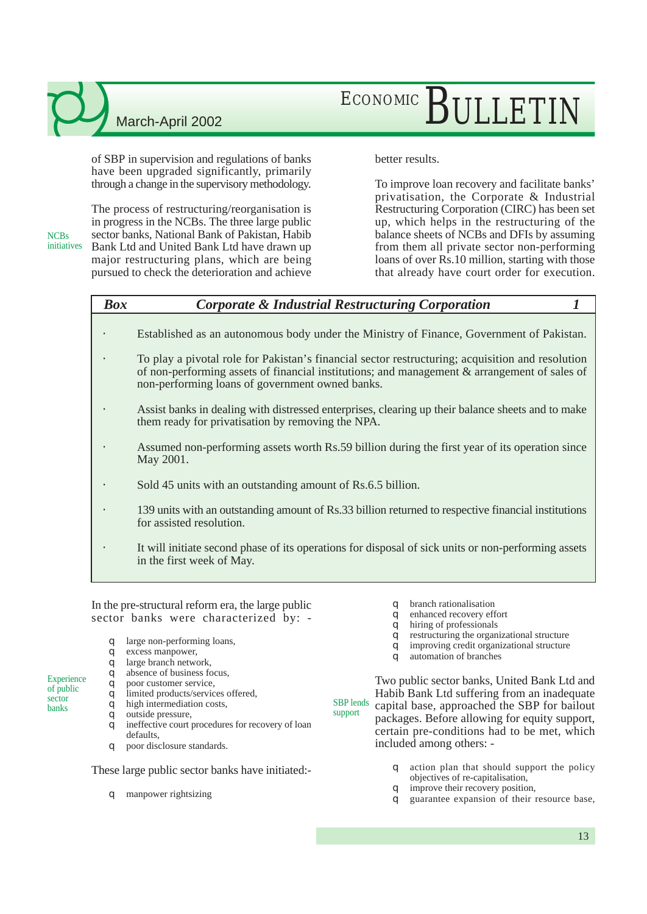**NCBs** 

## ECONOMIC RIJLETIN

of SBP in supervision and regulations of banks have been upgraded significantly, primarily through a change in the supervisory methodology.

The process of restructuring/reorganisation is in progress in the NCBs. The three large public sector banks, National Bank of Pakistan, Habib Bank Ltd and United Bank Ltd have drawn up major restructuring plans, which are being pursued to check the deterioration and achieve initiatives

#### better results.

To improve loan recovery and facilitate banks' privatisation, the Corporate & Industrial Restructuring Corporation (CIRC) has been set up, which helps in the restructuring of the balance sheets of NCBs and DFIs by assuming from them all private sector non-performing loans of over Rs.10 million, starting with those that already have court order for execution.

#### *Box Corporate & Industrial Restructuring Corporation 1*

- Established as an autonomous body under the Ministry of Finance, Government of Pakistan.
- To play a pivotal role for Pakistan's financial sector restructuring; acquisition and resolution of non-performing assets of financial institutions; and management & arrangement of sales of non-performing loans of government owned banks.
- Assist banks in dealing with distressed enterprises, clearing up their balance sheets and to make them ready for privatisation by removing the NPA.
- Assumed non-performing assets worth Rs.59 billion during the first year of its operation since May 2001.
- Sold 45 units with an outstanding amount of Rs.6.5 billion.
- 139 units with an outstanding amount of Rs.33 billion returned to respective financial institutions for assisted resolution.
- It will initiate second phase of its operations for disposal of sick units or non-performing assets in the first week of May.

In the pre-structural reform era, the large public sector banks were characterized by: -

- q large non-performing loans,
- q excess manpower,
- q large branch network,
- q absence of business focus,
- q poor customer service,
- q limited products/services offered,
- q high intermediation costs,
- q outside pressure,

**Experience** of public sector banks

- q ineffective court procedures for recovery of loan defaults,
- q poor disclosure standards.

These large public sector banks have initiated:-

q manpower rightsizing

- q branch rationalisation
- q enhanced recovery effort
- q hiring of professionals
- q restructuring the organizational structure
- q improving credit organizational structure
- q automation of branches

SBP lends support Two public sector banks, United Bank Ltd and Habib Bank Ltd suffering from an inadequate capital base, approached the SBP for bailout packages. Before allowing for equity support, certain pre-conditions had to be met, which included among others: -

- q action plan that should support the policy objectives of re-capitalisation,
- q improve their recovery position,
- q guarantee expansion of their resource base,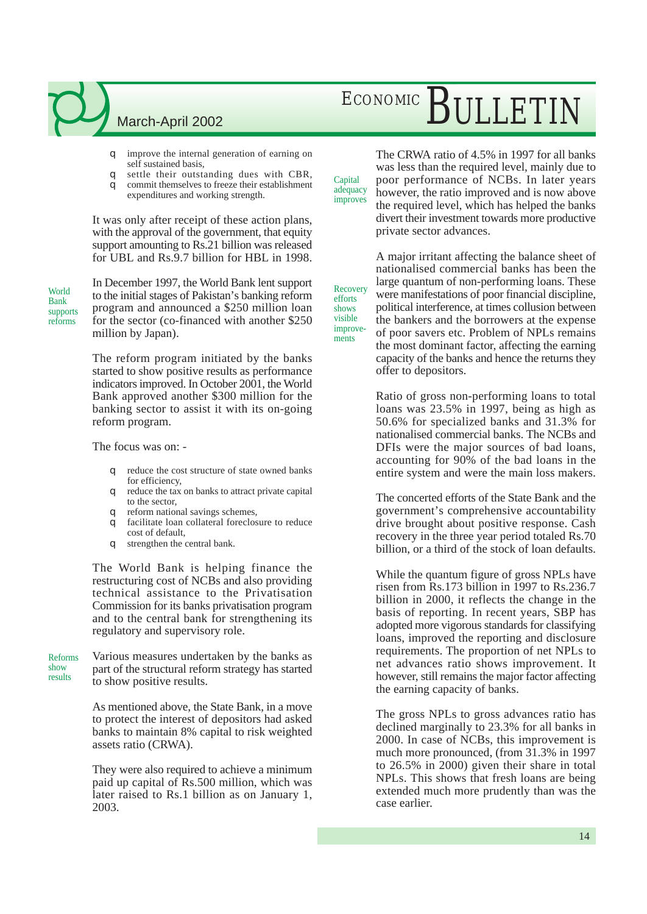## ECONOMIC BULLETIN

q improve the internal generation of earning on self sustained basis,

- q settle their outstanding dues with CBR,
- q commit themselves to freeze their establishment expenditures and working strength.

It was only after receipt of these action plans, with the approval of the government, that equity support amounting to Rs.21 billion was released for UBL and Rs.9.7 billion for HBL in 1998.

World Bank supports reforms

In December 1997, the World Bank lent support to the initial stages of Pakistan's banking reform program and announced a \$250 million loan for the sector (co-financed with another \$250 million by Japan).

The reform program initiated by the banks started to show positive results as performance indicators improved. In October 2001, the World Bank approved another \$300 million for the banking sector to assist it with its on-going reform program.

The focus was on: -

- q reduce the cost structure of state owned banks for efficiency,
- q reduce the tax on banks to attract private capital to the sector,
- q reform national savings schemes,
- q facilitate loan collateral foreclosure to reduce cost of default,
- q strengthen the central bank.

The World Bank is helping finance the restructuring cost of NCBs and also providing technical assistance to the Privatisation Commission for its banks privatisation program and to the central bank for strengthening its regulatory and supervisory role.

Various measures undertaken by the banks as part of the structural reform strategy has started to show positive results. Reforms show results

> As mentioned above, the State Bank, in a move to protect the interest of depositors had asked banks to maintain 8% capital to risk weighted assets ratio (CRWA).

> They were also required to achieve a minimum paid up capital of Rs.500 million, which was later raised to Rs.1 billion as on January 1, 2003.

The CRWA ratio of 4.5% in 1997 for all banks was less than the required level, mainly due to poor performance of NCBs. In later years however, the ratio improved and is now above the required level, which has helped the banks divert their investment towards more productive private sector advances.

A major irritant affecting the balance sheet of nationalised commercial banks has been the large quantum of non-performing loans. These were manifestations of poor financial discipline, political interference, at times collusion between the bankers and the borrowers at the expense of poor savers etc. Problem of NPLs remains the most dominant factor, affecting the earning capacity of the banks and hence the returns they offer to depositors.

**Recovery** efforts shows visible improvements

Capital adequacy improves

> Ratio of gross non-performing loans to total loans was 23.5% in 1997, being as high as 50.6% for specialized banks and 31.3% for nationalised commercial banks. The NCBs and DFIs were the major sources of bad loans, accounting for 90% of the bad loans in the entire system and were the main loss makers.

> The concerted efforts of the State Bank and the government's comprehensive accountability drive brought about positive response. Cash recovery in the three year period totaled Rs.70 billion, or a third of the stock of loan defaults.

> While the quantum figure of gross NPLs have risen from Rs.173 billion in 1997 to Rs.236.7 billion in 2000, it reflects the change in the basis of reporting. In recent years, SBP has adopted more vigorous standards for classifying loans, improved the reporting and disclosure requirements. The proportion of net NPLs to net advances ratio shows improvement. It however, still remains the major factor affecting the earning capacity of banks.

> The gross NPLs to gross advances ratio has declined marginally to 23.3% for all banks in 2000. In case of NCBs, this improvement is much more pronounced, (from 31.3% in 1997 to 26.5% in 2000) given their share in total NPLs. This shows that fresh loans are being extended much more prudently than was the case earlier.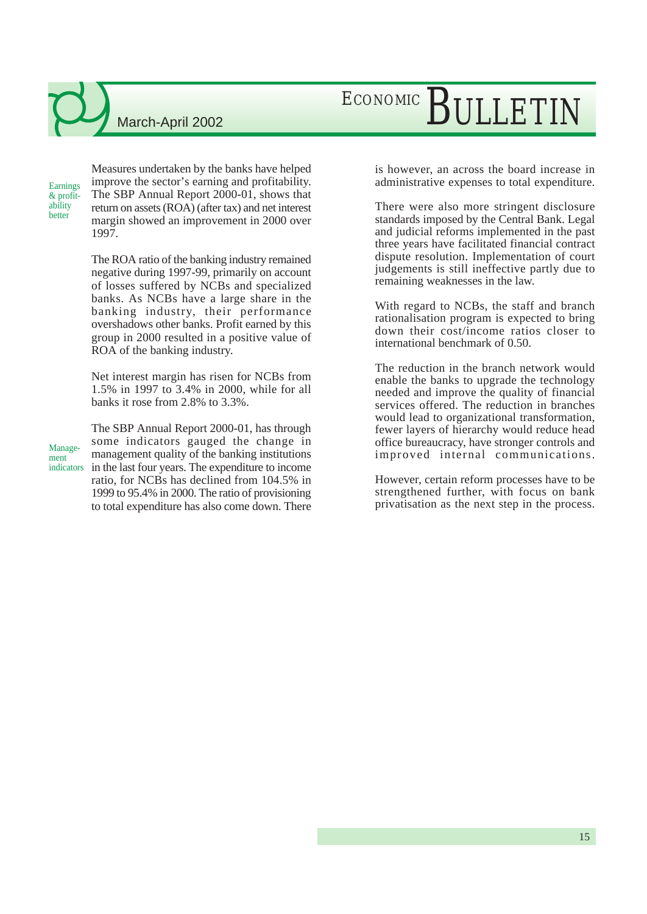March-April 2002

**Earnings** & profitability better

Measures undertaken by the banks have helped improve the sector's earning and profitability. The SBP Annual Report 2000-01, shows that return on assets (ROA) (after tax) and net interest margin showed an improvement in 2000 over 1997.

The ROA ratio of the banking industry remained negative during 1997-99, primarily on account of losses suffered by NCBs and specialized banks. As NCBs have a large share in the banking industry, their performance overshadows other banks. Profit earned by this group in 2000 resulted in a positive value of ROA of the banking industry.

Net interest margin has risen for NCBs from 1.5% in 1997 to 3.4% in 2000, while for all banks it rose from 2.8% to 3.3%.

Management

The SBP Annual Report 2000-01, has through some indicators gauged the change in management quality of the banking institutions indicators in the last four years. The expenditure to income ratio, for NCBs has declined from 104.5% in 1999 to 95.4% in 2000. The ratio of provisioning to total expenditure has also come down. There is however, an across the board increase in administrative expenses to total expenditure.

There were also more stringent disclosure standards imposed by the Central Bank. Legal and judicial reforms implemented in the past three years have facilitated financial contract dispute resolution. Implementation of court judgements is still ineffective partly due to remaining weaknesses in the law.

With regard to NCBs, the staff and branch rationalisation program is expected to bring down their cost/income ratios closer to international benchmark of 0.50.

The reduction in the branch network would enable the banks to upgrade the technology needed and improve the quality of financial services offered. The reduction in branches would lead to organizational transformation, fewer layers of hierarchy would reduce head office bureaucracy, have stronger controls and improved internal communications.

However, certain reform processes have to be strengthened further, with focus on bank privatisation as the next step in the process.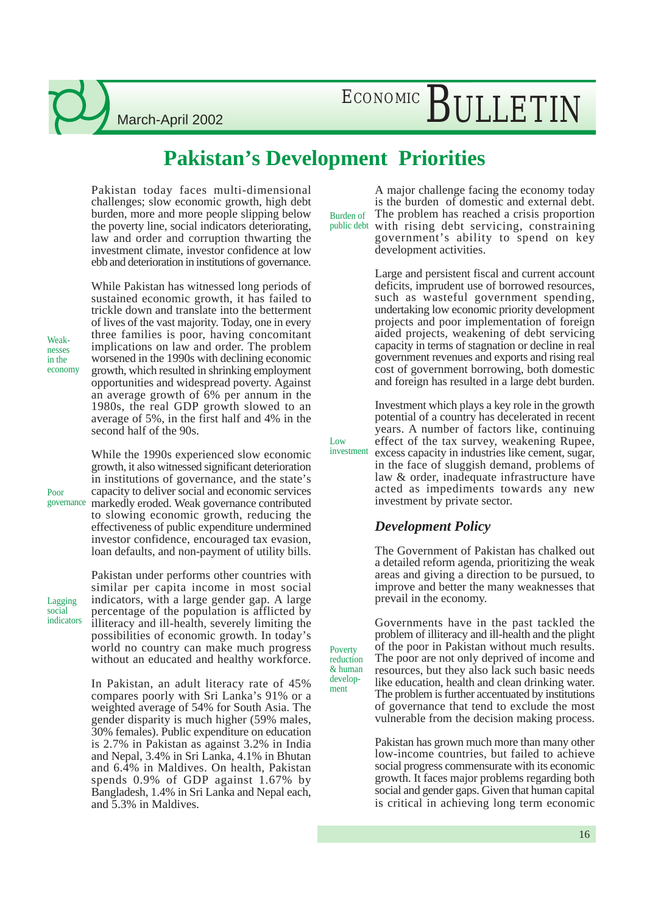March-April 2002

### **Pakistan's Development Priorities**

Low

Poverty reduction & human development

Pakistan today faces multi-dimensional challenges; slow economic growth, high debt burden, more and more people slipping below the poverty line, social indicators deteriorating, law and order and corruption thwarting the investment climate, investor confidence at low ebb and deterioration in institutions of governance.

While Pakistan has witnessed long periods of sustained economic growth, it has failed to trickle down and translate into the betterment of lives of the vast majority. Today, one in every three families is poor, having concomitant implications on law and order. The problem worsened in the 1990s with declining economic growth, which resulted in shrinking employment opportunities and widespread poverty. Against an average growth of 6% per annum in the 1980s, the real GDP growth slowed to an average of 5%, in the first half and 4% in the second half of the 90s.

While the 1990s experienced slow economic growth, it also witnessed significant deterioration in institutions of governance, and the state's capacity to deliver social and economic services markedly eroded. Weak governance contributed governance to slowing economic growth, reducing the effectiveness of public expenditure undermined investor confidence, encouraged tax evasion, loan defaults, and non-payment of utility bills.

Lagging social indicators

Weaknesses in the economy

Poor

Pakistan under performs other countries with similar per capita income in most social indicators, with a large gender gap. A large percentage of the population is afflicted by illiteracy and ill-health, severely limiting the possibilities of economic growth. In today's world no country can make much progress without an educated and healthy workforce.

In Pakistan, an adult literacy rate of 45% compares poorly with Sri Lanka's 91% or a weighted average of 54% for South Asia. The gender disparity is much higher (59% males, 30% females). Public expenditure on education is 2.7% in Pakistan as against 3.2% in India and Nepal, 3.4% in Sri Lanka, 4.1% in Bhutan and 6.4% in Maldives. On health, Pakistan spends 0.9% of GDP against 1.67% by Bangladesh, 1.4% in Sri Lanka and Nepal each, and 5.3% in Maldives.

A major challenge facing the economy today is the burden of domestic and external debt. The problem has reached a crisis proportion with rising debt servicing, constraining government's ability to spend on key Burden of public debt

development activities.

Large and persistent fiscal and current account deficits, imprudent use of borrowed resources, such as wasteful government spending, undertaking low economic priority development projects and poor implementation of foreign aided projects, weakening of debt servicing capacity in terms of stagnation or decline in real government revenues and exports and rising real cost of government borrowing, both domestic and foreign has resulted in a large debt burden.

Investment which plays a key role in the growth potential of a country has decelerated in recent years. A number of factors like, continuing effect of the tax survey, weakening Rupee, excess capacity in industries like cement, sugar, in the face of sluggish demand, problems of law & order, inadequate infrastructure have acted as impediments towards any new investment

#### *Development Policy*

investment by private sector.

The Government of Pakistan has chalked out a detailed reform agenda, prioritizing the weak areas and giving a direction to be pursued, to improve and better the many weaknesses that prevail in the economy.

Governments have in the past tackled the problem of illiteracy and ill-health and the plight of the poor in Pakistan without much results. The poor are not only deprived of income and resources, but they also lack such basic needs like education, health and clean drinking water. The problem is further accentuated by institutions of governance that tend to exclude the most vulnerable from the decision making process.

Pakistan has grown much more than many other low-income countries, but failed to achieve social progress commensurate with its economic growth. It faces major problems regarding both social and gender gaps. Given that human capital is critical in achieving long term economic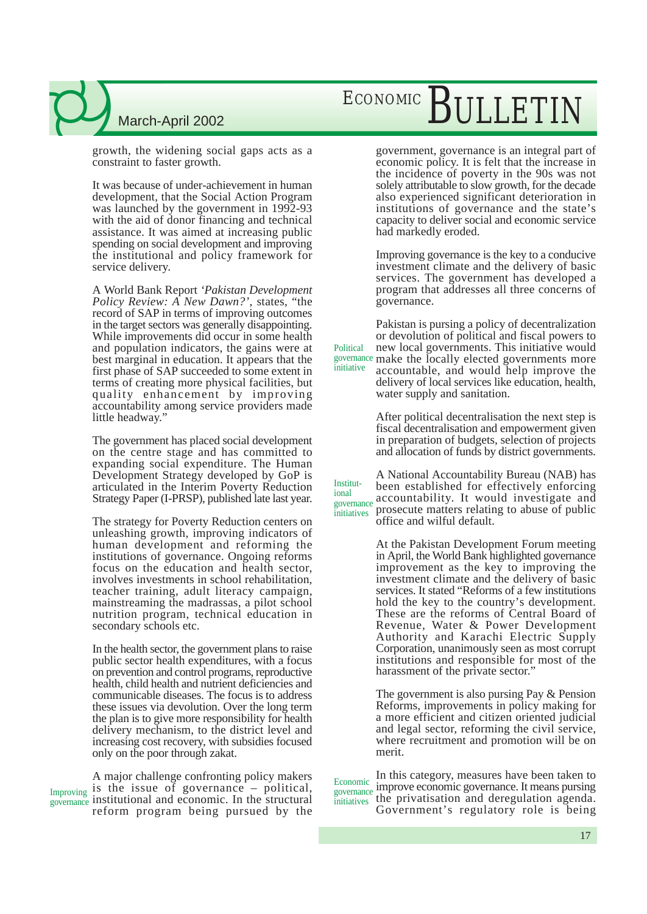growth, the widening social gaps acts as a constraint to faster growth.

It was because of under-achievement in human development, that the Social Action Program was launched by the government in 1992-93 with the aid of donor financing and technical assistance. It was aimed at increasing public spending on social development and improving the institutional and policy framework for service delivery.

A World Bank Report *'Pakistan Development Policy Review: A New Dawn?'*, states, "the record of SAP in terms of improving outcomes in the target sectors was generally disappointing. While improvements did occur in some health and population indicators, the gains were at best marginal in education. It appears that the first phase of SAP succeeded to some extent in terms of creating more physical facilities, but quality enhancement by improving accountability among service providers made little headway."

The government has placed social development on the centre stage and has committed to expanding social expenditure. The Human Development Strategy developed by GoP is articulated in the Interim Poverty Reduction Strategy Paper (I-PRSP), published late last year.

The strategy for Poverty Reduction centers on unleashing growth, improving indicators of human development and reforming the institutions of governance. Ongoing reforms focus on the education and health sector, involves investments in school rehabilitation, teacher training, adult literacy campaign, mainstreaming the madrassas, a pilot school nutrition program, technical education in secondary schools etc.

In the health sector, the government plans to raise public sector health expenditures, with a focus on prevention and control programs, reproductive health, child health and nutrient deficiencies and communicable diseases. The focus is to address these issues via devolution. Over the long term the plan is to give more responsibility for health delivery mechanism, to the district level and increasing cost recovery, with subsidies focused only on the poor through zakat.

A major challenge confronting policy makers Improving is the issue of governance  $-$  political, governance institutional and economic. In the structural reform program being pursued by the

## ECONOMIC BULLETIN

government, governance is an integral part of economic policy. It is felt that the increase in the incidence of poverty in the 90s was not solely attributable to slow growth, for the decade also experienced significant deterioration in institutions of governance and the state's capacity to deliver social and economic service had markedly eroded.

Improving governance is the key to a conducive investment climate and the delivery of basic services. The government has developed a program that addresses all three concerns of governance.

Pakistan is pursing a policy of decentralization or devolution of political and fiscal powers to new local governments. This initiative would governance make the locally elected governments more accountable, and would help improve the delivery of local services like education, health, water supply and sanitation. **Political** initiative

> After political decentralisation the next step is fiscal decentralisation and empowerment given in preparation of budgets, selection of projects and allocation of funds by district governments.

A National Accountability Bureau (NAB) has been established for effectively enforcing accountability. It would investigate and prosecute matters relating to abuse of public office and wilful default. Institutional governance initiatives

> At the Pakistan Development Forum meeting in April, the World Bank highlighted governance improvement as the key to improving the investment climate and the delivery of basic services. It stated "Reforms of a few institutions hold the key to the country's development. These are the reforms of Central Board of Revenue, Water & Power Development Authority and Karachi Electric Supply Corporation, unanimously seen as most corrupt institutions and responsible for most of the harassment of the private sector."

> The government is also pursing Pay & Pension Reforms, improvements in policy making for a more efficient and citizen oriented judicial and legal sector, reforming the civil service, where recruitment and promotion will be on merit.

In this category, measures have been taken to improve economic governance. It means pursing the privatisation and deregulation agenda. Government's regulatory role is being Economic governance initiatives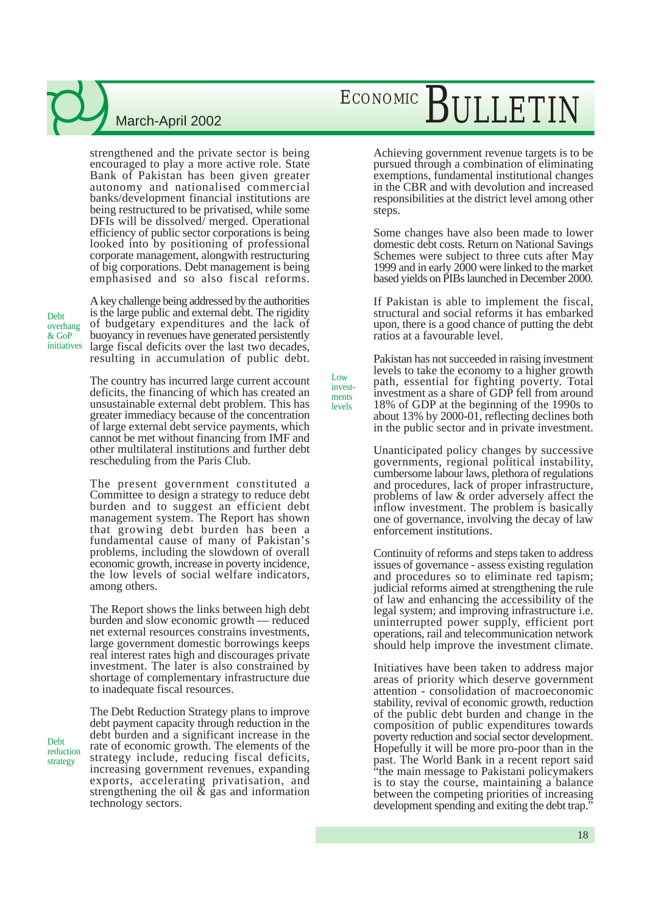strengthened and the private sector is being encouraged to play a more active role. State Bank of Pakistan has been given greater autonomy and nationalised commercial banks/development financial institutions are being restructured to be privatised, while some DFIs will be dissolved/ merged. Operational efficiency of public sector corporations is being looked into by positioning of professional corporate management, alongwith restructuring of big corporations. Debt management is being emphasised and so also fiscal reforms.

Debt overhang & GoP initiatives

Debt reduction strategy

A key challenge being addressed by the authorities is the large public and external debt. The rigidity of budgetary expenditures and the lack of buoyancy in revenues have generated persistently large fiscal deficits over the last two decades, resulting in accumulation of public debt.

The country has incurred large current account deficits, the financing of which has created an unsustainable external debt problem. This has greater immediacy because of the concentration of large external debt service payments, which cannot be met without financing from IMF and other multilateral institutions and further debt rescheduling from the Paris Club.

The present government constituted a Committee to design a strategy to reduce debt burden and to suggest an efficient debt management system. The Report has shown that growing debt burden has been a fundamental cause of many of Pakistan's problems, including the slowdown of overall economic growth, increase in poverty incidence, the low levels of social welfare indicators, among others.

The Report shows the links between high debt burden and slow economic growth –– reduced net external resources constrains investments, large government domestic borrowings keeps real interest rates high and discourages private investment. The later is also constrained by shortage of complementary infrastructure due to inadequate fiscal resources.

The Debt Reduction Strategy plans to improve debt payment capacity through reduction in the debt burden and a significant increase in the rate of economic growth. The elements of the strategy include, reducing fiscal deficits, increasing government revenues, expanding exports, accelerating privatisation, and strengthening the oil  $\&$  gas and information technology sectors.

## ECONOMIC BULLETI

Achieving government revenue targets is to be pursued through a combination of eliminating exemptions, fundamental institutional changes in the CBR and with devolution and increased responsibilities at the district level among other steps.

Some changes have also been made to lower domestic debt costs. Return on National Savings Schemes were subject to three cuts after May 1999 and in early 2000 were linked to the market based yields on PIBs launched in December 2000.

If Pakistan is able to implement the fiscal, structural and social reforms it has embarked upon, there is a good chance of putting the debt ratios at a favourable level.

Pakistan has not succeeded in raising investment levels to take the economy to a higher growth path, essential for fighting poverty. Total investment as a share of GDP fell from around 18% of GDP at the beginning of the 1990s to about 13% by 2000-01, reflecting declines both in the public sector and in private investment.

Low investments levels

> Unanticipated policy changes by successive governments, regional political instability, cumbersome labour laws, plethora of regulations and procedures, lack of proper infrastructure, problems of law & order adversely affect the inflow investment. The problem is basically one of governance, involving the decay of law enforcement institutions.

> Continuity of reforms and steps taken to address issues of governance - assess existing regulation and procedures so to eliminate red tapism; judicial reforms aimed at strengthening the rule of law and enhancing the accessibility of the legal system; and improving infrastructure i.e. uninterrupted power supply, efficient port operations, rail and telecommunication network should help improve the investment climate.

> Initiatives have been taken to address major areas of priority which deserve government attention - consolidation of macroeconomic stability, revival of economic growth, reduction of the public debt burden and change in the composition of public expenditures towards poverty reduction and social sector development. Hopefully it will be more pro-poor than in the past. The World Bank in a recent report said "the main message to Pakistani policymakers is to stay the course, maintaining a balance between the competing priorities of increasing development spending and exiting the debt trap."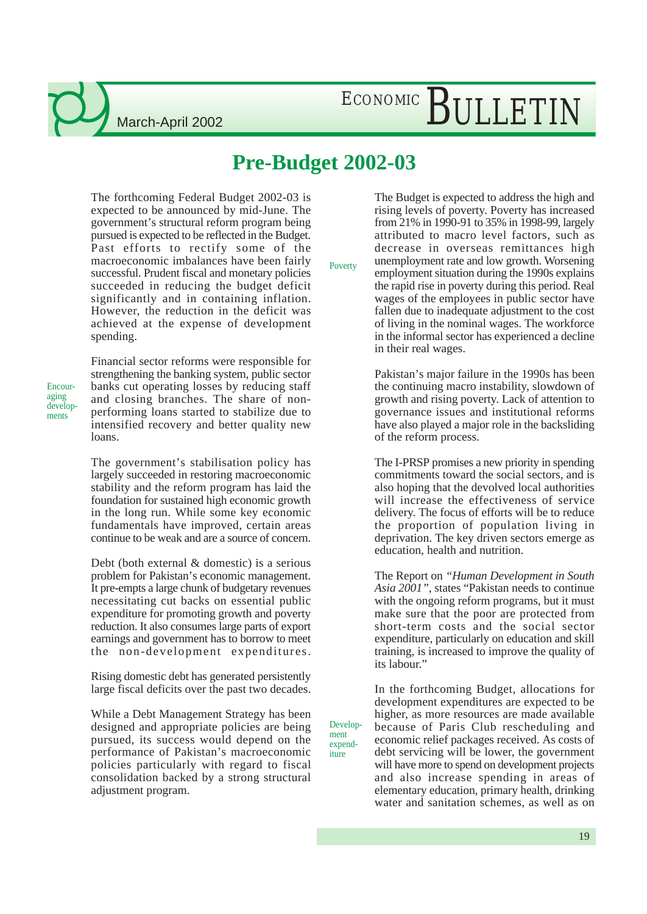## ECONOMIC BULLETIN

### **Pre-Budget 2002-03**

The forthcoming Federal Budget 2002-03 is expected to be announced by mid-June. The government's structural reform program being pursued is expected to be reflected in the Budget. Past efforts to rectify some of the macroeconomic imbalances have been fairly successful. Prudent fiscal and monetary policies succeeded in reducing the budget deficit significantly and in containing inflation. However, the reduction in the deficit was achieved at the expense of development spending.

Encouraging developments

Financial sector reforms were responsible for strengthening the banking system, public sector banks cut operating losses by reducing staff and closing branches. The share of nonperforming loans started to stabilize due to intensified recovery and better quality new loans.

The government's stabilisation policy has largely succeeded in restoring macroeconomic stability and the reform program has laid the foundation for sustained high economic growth in the long run. While some key economic fundamentals have improved, certain areas continue to be weak and are a source of concern.

Debt (both external & domestic) is a serious problem for Pakistan's economic management. It pre-empts a large chunk of budgetary revenues necessitating cut backs on essential public expenditure for promoting growth and poverty reduction. It also consumes large parts of export earnings and government has to borrow to meet the non-development expenditures.

Rising domestic debt has generated persistently large fiscal deficits over the past two decades.

While a Debt Management Strategy has been designed and appropriate policies are being pursued, its success would depend on the performance of Pakistan's macroeconomic policies particularly with regard to fiscal consolidation backed by a strong structural adjustment program.

Poverty

Development expenditure

The Budget is expected to address the high and rising levels of poverty. Poverty has increased from 21% in 1990-91 to 35% in 1998-99, largely attributed to macro level factors, such as decrease in overseas remittances high unemployment rate and low growth. Worsening employment situation during the 1990s explains the rapid rise in poverty during this period. Real wages of the employees in public sector have fallen due to inadequate adjustment to the cost of living in the nominal wages. The workforce in the informal sector has experienced a decline in their real wages.

Pakistan's major failure in the 1990s has been the continuing macro instability, slowdown of growth and rising poverty. Lack of attention to governance issues and institutional reforms have also played a major role in the backsliding of the reform process.

The I-PRSP promises a new priority in spending commitments toward the social sectors, and is also hoping that the devolved local authorities will increase the effectiveness of service delivery. The focus of efforts will be to reduce the proportion of population living in deprivation. The key driven sectors emerge as education, health and nutrition.

The Report on *"Human Development in South Asia 2001"*, states "Pakistan needs to continue with the ongoing reform programs, but it must make sure that the poor are protected from short-term costs and the social sector expenditure, particularly on education and skill training, is increased to improve the quality of its labour."

In the forthcoming Budget, allocations for development expenditures are expected to be higher, as more resources are made available because of Paris Club rescheduling and economic relief packages received. As costs of debt servicing will be lower, the government will have more to spend on development projects and also increase spending in areas of elementary education, primary health, drinking water and sanitation schemes, as well as on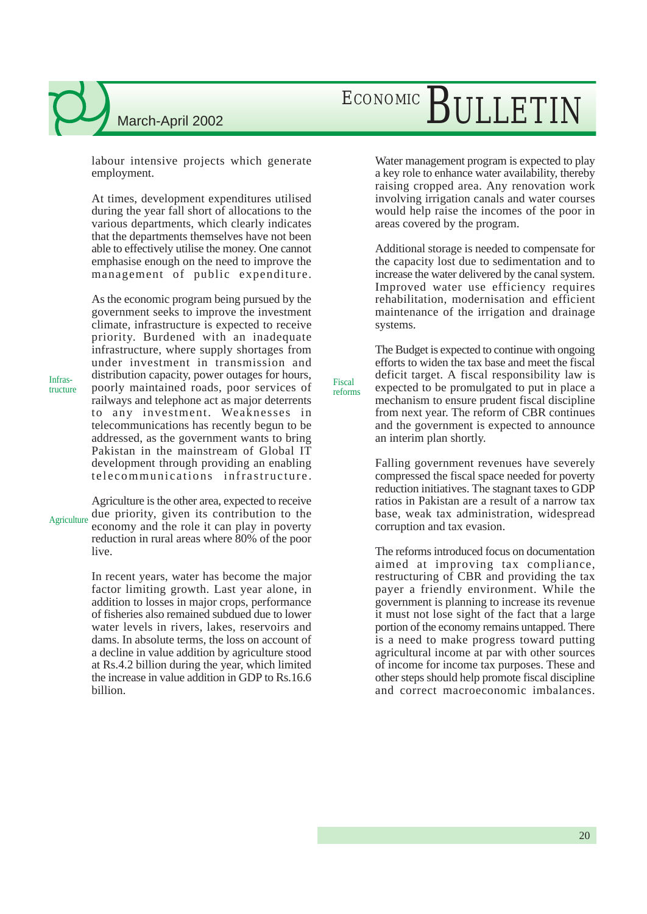## ECONOMIC BULLETIN

labour intensive projects which generate employment.

At times, development expenditures utilised during the year fall short of allocations to the various departments, which clearly indicates that the departments themselves have not been able to effectively utilise the money. One cannot emphasise enough on the need to improve the management of public expenditure.

As the economic program being pursued by the government seeks to improve the investment climate, infrastructure is expected to receive priority. Burdened with an inadequate infrastructure, where supply shortages from under investment in transmission and distribution capacity, power outages for hours, poorly maintained roads, poor services of railways and telephone act as major deterrents to any investment. Weaknesses in telecommunications has recently begun to be addressed, as the government wants to bring Pakistan in the mainstream of Global IT development through providing an enabling telecommunications infrastructure.

Agriculture is the other area, expected to receive due priority, given its contribution to the economy and the role it can play in poverty reduction in rural areas where 80% of the poor live. **Agriculture** 

> In recent years, water has become the major factor limiting growth. Last year alone, in addition to losses in major crops, performance of fisheries also remained subdued due to lower water levels in rivers, lakes, reservoirs and dams. In absolute terms, the loss on account of a decline in value addition by agriculture stood at Rs.4.2 billion during the year, which limited the increase in value addition in GDP to Rs.16.6 billion.

Water management program is expected to play a key role to enhance water availability, thereby raising cropped area. Any renovation work involving irrigation canals and water courses would help raise the incomes of the poor in areas covered by the program.

Additional storage is needed to compensate for the capacity lost due to sedimentation and to increase the water delivered by the canal system. Improved water use efficiency requires rehabilitation, modernisation and efficient maintenance of the irrigation and drainage systems.

The Budget is expected to continue with ongoing efforts to widen the tax base and meet the fiscal deficit target. A fiscal responsibility law is expected to be promulgated to put in place a mechanism to ensure prudent fiscal discipline from next year. The reform of CBR continues and the government is expected to announce an interim plan shortly.

Fiscal reforms

> Falling government revenues have severely compressed the fiscal space needed for poverty reduction initiatives. The stagnant taxes to GDP ratios in Pakistan are a result of a narrow tax base, weak tax administration, widespread corruption and tax evasion.

> The reforms introduced focus on documentation aimed at improving tax compliance, restructuring of CBR and providing the tax payer a friendly environment. While the government is planning to increase its revenue it must not lose sight of the fact that a large portion of the economy remains untapped. There is a need to make progress toward putting agricultural income at par with other sources of income for income tax purposes. These and other steps should help promote fiscal discipline and correct macroeconomic imbalances.

Infrastructure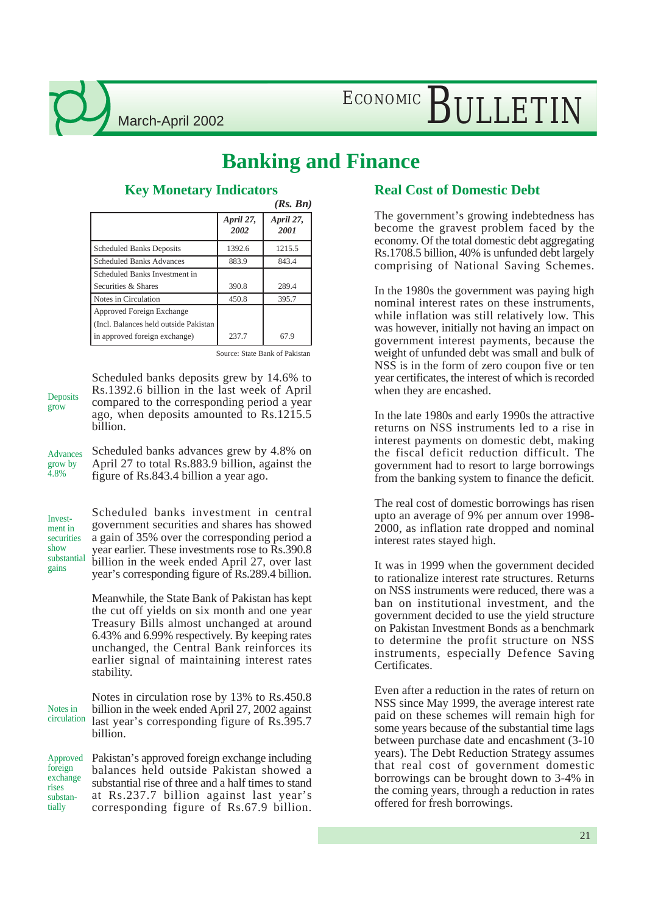## ECONOMIC BULLETIN

### **Banking and Finance**

|                                        |                   | (Rs. Bn)          |
|----------------------------------------|-------------------|-------------------|
|                                        | April 27,<br>2002 | April 27,<br>2001 |
| <b>Scheduled Banks Deposits</b>        | 1392.6            | 1215.5            |
| <b>Scheduled Banks Advances</b>        | 883.9             | 843.4             |
| Scheduled Banks Investment in          |                   |                   |
| Securities & Shares                    | 390.8             | 289.4             |
| Notes in Circulation                   | 450.8             | 395.7             |
| Approved Foreign Exchange              |                   |                   |
| (Incl. Balances held outside Pakistan) |                   |                   |
| in approved foreign exchange)          | 237.7             | 67.9              |
|                                        |                   |                   |

### **Key Monetary Indicators**

Source: State Bank of Pakistan

Deposits grow

Scheduled banks deposits grew by 14.6% to Rs.1392.6 billion in the last week of April compared to the corresponding period a year ago, when deposits amounted to Rs.1215.5 billion.

Scheduled banks advances grew by 4.8% on April 27 to total Rs.883.9 billion, against the figure of Rs.843.4 billion a year ago. Advances grow by 4.8%

Investment in securities show substantial gains

Scheduled banks investment in central government securities and shares has showed a gain of 35% over the corresponding period a year earlier. These investments rose to Rs.390.8 billion in the week ended April 27, over last year's corresponding figure of Rs.289.4 billion.

Meanwhile, the State Bank of Pakistan has kept the cut off yields on six month and one year Treasury Bills almost unchanged at around 6.43% and 6.99% respectively. By keeping rates unchanged, the Central Bank reinforces its earlier signal of maintaining interest rates stability.

Notes in circulation rose by 13% to Rs.450.8 billion in the week ended April 27, 2002 against last year's corresponding figure of Rs.395.7 billion. Notes in circulation

Pakistan's approved foreign exchange including balances held outside Pakistan showed a substantial rise of three and a half times to stand at Rs.237.7 billion against last year's corresponding figure of Rs.67.9 billion. Approved foreign exchange rises substantially

### **Real Cost of Domestic Debt**

The government's growing indebtedness has become the gravest problem faced by the economy. Of the total domestic debt aggregating Rs.1708.5 billion, 40% is unfunded debt largely comprising of National Saving Schemes.

In the 1980s the government was paying high nominal interest rates on these instruments, while inflation was still relatively low. This was however, initially not having an impact on government interest payments, because the weight of unfunded debt was small and bulk of NSS is in the form of zero coupon five or ten year certificates, the interest of which is recorded when they are encashed.

In the late 1980s and early 1990s the attractive returns on NSS instruments led to a rise in interest payments on domestic debt, making the fiscal deficit reduction difficult. The government had to resort to large borrowings from the banking system to finance the deficit.

The real cost of domestic borrowings has risen upto an average of 9% per annum over 1998- 2000, as inflation rate dropped and nominal interest rates stayed high.

It was in 1999 when the government decided to rationalize interest rate structures. Returns on NSS instruments were reduced, there was a ban on institutional investment, and the government decided to use the yield structure on Pakistan Investment Bonds as a benchmark to determine the profit structure on NSS instruments, especially Defence Saving Certificates.

Even after a reduction in the rates of return on NSS since May 1999, the average interest rate paid on these schemes will remain high for some years because of the substantial time lags between purchase date and encashment (3-10 years). The Debt Reduction Strategy assumes that real cost of government domestic borrowings can be brought down to 3-4% in the coming years, through a reduction in rates offered for fresh borrowings.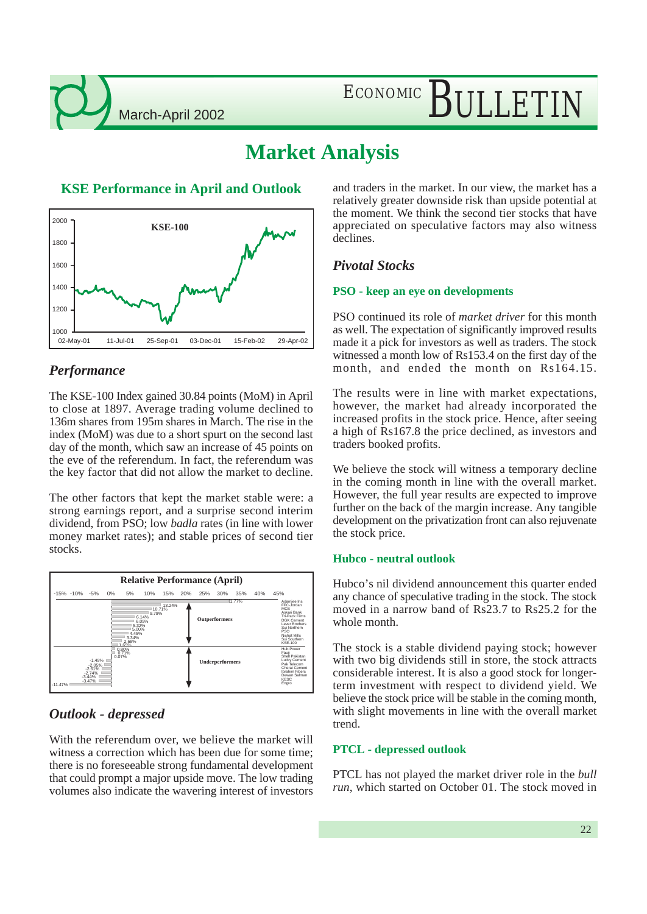ECONOMIC BULLETIN

### **Market Analysis**



#### *Performance*

The KSE-100 Index gained 30.84 points (MoM) in April to close at 1897. Average trading volume declined to 136m shares from 195m shares in March. The rise in the index (MoM) was due to a short spurt on the second last day of the month, which saw an increase of 45 points on the eve of the referendum. In fact, the referendum was the key factor that did not allow the market to decline.

The other factors that kept the market stable were: a strong earnings report, and a surprise second interim dividend, from PSO; low *badla* rates (in line with lower money market rates); and stable prices of second tier stocks.



### *Outlook - depressed*

With the referendum over, we believe the market will witness a correction which has been due for some time; there is no foreseeable strong fundamental development that could prompt a major upside move. The low trading volumes also indicate the wavering interest of investors

**KSE Performance in April and Outlook** and traders in the market. In our view, the market has a relatively greater downside risk than upside potential at the moment. We think the second tier stocks that have appreciated on speculative factors may also witness declines.

#### *Pivotal Stocks*

#### **PSO - keep an eye on developments**

PSO continued its role of *market driver* for this month as well. The expectation of significantly improved results made it a pick for investors as well as traders. The stock witnessed a month low of Rs153.4 on the first day of the month, and ended the month on Rs164.15.

The results were in line with market expectations, however, the market had already incorporated the increased profits in the stock price. Hence, after seeing a high of Rs167.8 the price declined, as investors and traders booked profits.

We believe the stock will witness a temporary decline in the coming month in line with the overall market. However, the full year results are expected to improve further on the back of the margin increase. Any tangible development on the privatization front can also rejuvenate the stock price.

#### **Hubco - neutral outlook**

Hubco's nil dividend announcement this quarter ended any chance of speculative trading in the stock. The stock moved in a narrow band of Rs23.7 to Rs25.2 for the whole month.

The stock is a stable dividend paying stock; however with two big dividends still in store, the stock attracts considerable interest. It is also a good stock for longerterm investment with respect to dividend yield. We believe the stock price will be stable in the coming month, with slight movements in line with the overall market trend.

#### **PTCL - depressed outlook**

PTCL has not played the market driver role in the *bull run*, which started on October 01. The stock moved in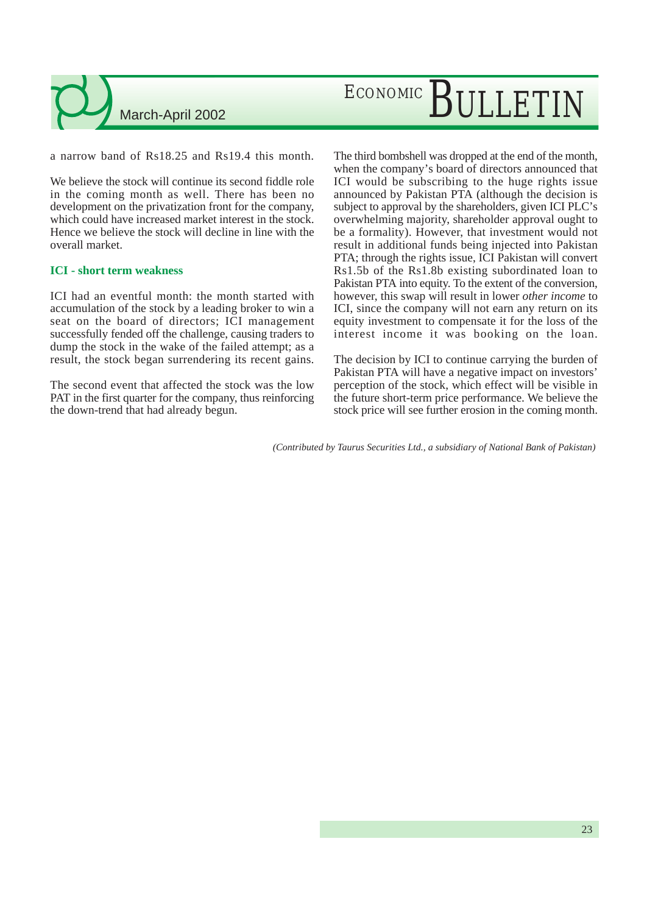a narrow band of Rs18.25 and Rs19.4 this month.

We believe the stock will continue its second fiddle role in the coming month as well. There has been no development on the privatization front for the company, which could have increased market interest in the stock. Hence we believe the stock will decline in line with the overall market.

#### **ICI - short term weakness**

ICI had an eventful month: the month started with accumulation of the stock by a leading broker to win a seat on the board of directors; ICI management successfully fended off the challenge, causing traders to dump the stock in the wake of the failed attempt; as a result, the stock began surrendering its recent gains.

The second event that affected the stock was the low PAT in the first quarter for the company, thus reinforcing the down-trend that had already begun.

The third bombshell was dropped at the end of the month, when the company's board of directors announced that ICI would be subscribing to the huge rights issue announced by Pakistan PTA (although the decision is subject to approval by the shareholders, given ICI PLC's overwhelming majority, shareholder approval ought to be a formality). However, that investment would not result in additional funds being injected into Pakistan PTA; through the rights issue, ICI Pakistan will convert Rs1.5b of the Rs1.8b existing subordinated loan to Pakistan PTA into equity. To the extent of the conversion, however, this swap will result in lower *other income* to ICI, since the company will not earn any return on its equity investment to compensate it for the loss of the interest income it was booking on the loan.

The decision by ICI to continue carrying the burden of Pakistan PTA will have a negative impact on investors' perception of the stock, which effect will be visible in the future short-term price performance. We believe the stock price will see further erosion in the coming month.

*(Contributed by Taurus Securities Ltd., a subsidiary of National Bank of Pakistan)*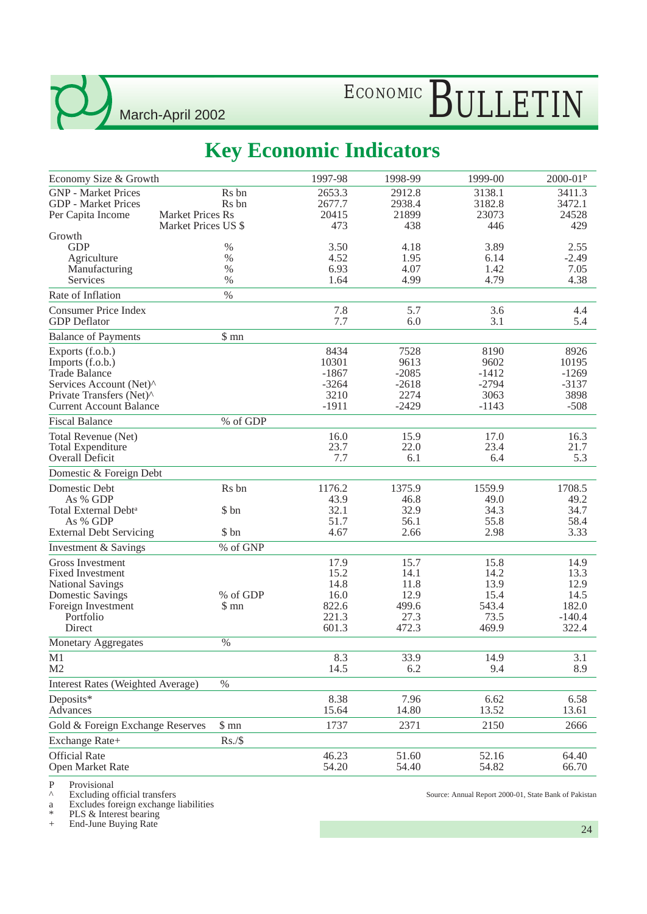## ECONOMIC BULLETIN

### **Key Economic Indicators**

| Economy Size & Growth                                                                                                                                 |                                                | 1997-98                                                 | 1998-99                                                | 1999-00                                                | 2000-01P                                                   |
|-------------------------------------------------------------------------------------------------------------------------------------------------------|------------------------------------------------|---------------------------------------------------------|--------------------------------------------------------|--------------------------------------------------------|------------------------------------------------------------|
| <b>GNP</b> - Market Prices<br><b>GDP</b> - Market Prices                                                                                              | Rs bn<br>R <sub>s</sub> bn                     | 2653.3<br>2677.7                                        | 2912.8<br>2938.4                                       | 3138.1<br>3182.8                                       | 3411.3<br>3472.1                                           |
| Per Capita Income                                                                                                                                     | <b>Market Prices Rs</b><br>Market Prices US \$ | 20415<br>473                                            | 21899<br>438                                           | 23073<br>446                                           | 24528<br>429                                               |
| Growth<br><b>GDP</b><br>Agriculture<br>Manufacturing<br>Services                                                                                      | $\%$<br>$\%$<br>$\%$<br>$\%$                   | 3.50<br>4.52<br>6.93<br>1.64                            | 4.18<br>1.95<br>4.07<br>4.99                           | 3.89<br>6.14<br>1.42<br>4.79                           | 2.55<br>$-2.49$<br>7.05<br>4.38                            |
| Rate of Inflation                                                                                                                                     | $\%$                                           |                                                         |                                                        |                                                        |                                                            |
| <b>Consumer Price Index</b><br><b>GDP</b> Deflator                                                                                                    |                                                | 7.8<br>7.7                                              | 5.7<br>6.0                                             | 3.6<br>3.1                                             | 4.4<br>5.4                                                 |
| <b>Balance of Payments</b>                                                                                                                            | \$mn                                           |                                                         |                                                        |                                                        |                                                            |
| Exports (f.o.b.)<br>Imports (f.o.b.)<br><b>Trade Balance</b><br>Services Account (Net)^<br>Private Transfers (Net)^<br><b>Current Account Balance</b> |                                                | 8434<br>10301<br>$-1867$<br>$-3264$<br>3210<br>$-1911$  | 7528<br>9613<br>$-2085$<br>$-2618$<br>2274<br>$-2429$  | 8190<br>9602<br>$-1412$<br>$-2794$<br>3063<br>$-1143$  | 8926<br>10195<br>$-1269$<br>$-3137$<br>3898<br>$-508$      |
| <b>Fiscal Balance</b>                                                                                                                                 | % of GDP                                       |                                                         |                                                        |                                                        |                                                            |
| Total Revenue (Net)<br><b>Total Expenditure</b><br><b>Overall Deficit</b>                                                                             |                                                | 16.0<br>23.7<br>7.7                                     | 15.9<br>22.0<br>6.1                                    | 17.0<br>23.4<br>6.4                                    | 16.3<br>21.7<br>5.3                                        |
| Domestic & Foreign Debt                                                                                                                               |                                                |                                                         |                                                        |                                                        |                                                            |
| Domestic Debt<br>As % GDP<br>Total External Debt <sup>a</sup><br>As % GDP                                                                             | Rs bn<br>\$ bn                                 | 1176.2<br>43.9<br>32.1<br>51.7                          | 1375.9<br>46.8<br>32.9<br>56.1                         | 1559.9<br>49.0<br>34.3<br>55.8                         | 1708.5<br>49.2<br>34.7<br>58.4                             |
| <b>External Debt Servicing</b>                                                                                                                        | \$ bn                                          | 4.67                                                    | 2.66                                                   | 2.98                                                   | 3.33                                                       |
| Investment & Savings                                                                                                                                  | % of GNP                                       |                                                         |                                                        |                                                        |                                                            |
| Gross Investment<br><b>Fixed Investment</b><br><b>National Savings</b><br><b>Domestic Savings</b><br>Foreign Investment<br>Portfolio<br>Direct        | % of GDP<br>\$ mn                              | 17.9<br>15.2<br>14.8<br>16.0<br>822.6<br>221.3<br>601.3 | 15.7<br>14.1<br>11.8<br>12.9<br>499.6<br>27.3<br>472.3 | 15.8<br>14.2<br>13.9<br>15.4<br>543.4<br>73.5<br>469.9 | 14.9<br>13.3<br>12.9<br>14.5<br>182.0<br>$-140.4$<br>322.4 |
| Monetary Aggregates                                                                                                                                   | $\%$                                           |                                                         |                                                        |                                                        |                                                            |
| M1<br>M <sub>2</sub>                                                                                                                                  |                                                | 8.3<br>14.5                                             | 33.9<br>6.2                                            | 14.9<br>9.4                                            | 3.1<br>8.9                                                 |
| <b>Interest Rates (Weighted Average)</b>                                                                                                              | $\%$                                           |                                                         |                                                        |                                                        |                                                            |
| Deposits*<br>Advances                                                                                                                                 |                                                | 8.38<br>15.64                                           | 7.96<br>14.80                                          | 6.62<br>13.52                                          | 6.58<br>13.61                                              |
| Gold & Foreign Exchange Reserves                                                                                                                      | \$mn                                           | 1737                                                    | 2371                                                   | 2150                                                   | 2666                                                       |
| Exchange Rate+                                                                                                                                        | Rs./\$                                         |                                                         |                                                        |                                                        |                                                            |
| <b>Official Rate</b><br>Open Market Rate                                                                                                              |                                                | 46.23<br>54.20                                          | 51.60<br>54.40                                         | 52.16<br>54.82                                         | 64.40<br>66.70                                             |

P Provisional<br> $\land$  Excluding c

^ Excluding official transfers

a Excludes foreign exchange liabilities

\* PLS & Interest bearing

+ End-June Buying Rate

Source: Annual Report 2000-01, State Bank of Pakistan